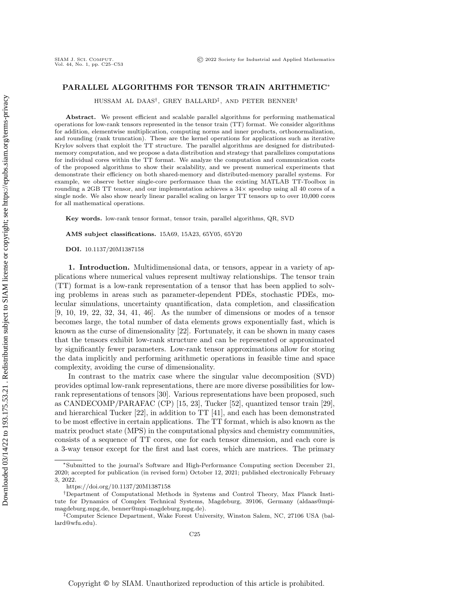# PARALLEL ALGORITHMS FOR TENSOR TRAIN ARITHMETIC<sup>∗</sup>

HUSSAM AL DAAS† , GREY BALLARD‡ , AND PETER BENNER†

Abstract. We present efficient and scalable parallel algorithms for performing mathematical operations for low-rank tensors represented in the tensor train (TT) format. We consider algorithms for addition, elementwise multiplication, computing norms and inner products, orthonormalization, and rounding (rank truncation). These are the kernel operations for applications such as iterative Krylov solvers that exploit the TT structure. The parallel algorithms are designed for distributedmemory computation, and we propose a data distribution and strategy that parallelizes computations for individual cores within the TT format. We analyze the computation and communication costs of the proposed algorithms to show their scalability, and we present numerical experiments that demonstrate their efficiency on both shared-memory and distributed-memory parallel systems. For example, we observe better single-core performance than the existing MATLAB TT-Toolbox in rounding a 2GB TT tensor, and our implementation achieves a  $34\times$  speedup using all 40 cores of a single node. We also show nearly linear parallel scaling on larger TT tensors up to over 10,000 cores for all mathematical operations.

Key words. low-rank tensor format, tensor train, parallel algorithms, QR, SVD

AMS subject classifications. 15A69, 15A23, 65Y05, 65Y20

DOI. 10.1137/20M1387158

SIAM J. SCI. COMPUT.<br>Vol. 44, No. 1, pp. C25–C53

<span id="page-0-0"></span>1. Introduction. Multidimensional data, or tensors, appear in a variety of applications where numerical values represent multiway relationships. The tensor train (TT) format is a low-rank representation of a tensor that has been applied to solving problems in areas such as parameter-dependent PDEs, stochastic PDEs, molecular simulations, uncertainty quantification, data completion, and classification [\[9,](#page-26-0) [10,](#page-26-1) [19,](#page-26-2) [22,](#page-27-0) [32,](#page-27-1) [34,](#page-27-2) [41,](#page-28-0) [46\]](#page-28-1). As the number of dimensions or modes of a tensor becomes large, the total number of data elements grows exponentially fast, which is known as the curse of dimensionality [\[22\]](#page-27-0). Fortunately, it can be shown in many cases that the tensors exhibit low-rank structure and can be represented or approximated by significantly fewer parameters. Low-rank tensor approximations allow for storing the data implicitly and performing arithmetic operations in feasible time and space complexity, avoiding the curse of dimensionality.

In contrast to the matrix case where the singular value decomposition (SVD) provides optimal low-rank representations, there are more diverse possibilities for lowrank representations of tensors [\[30\]](#page-27-3). Various representations have been proposed, such as CANDECOMP/PARAFAC (CP) [\[15,](#page-26-3) [23\]](#page-27-4), Tucker [\[52\]](#page-28-2), quantized tensor train [\[29\]](#page-27-5), and hierarchical Tucker [\[22\]](#page-27-0), in addition to TT [\[41\]](#page-28-0), and each has been demonstrated to be most effective in certain applications. The TT format, which is also known as the matrix product state (MPS) in the computational physics and chemistry communities, consists of a sequence of TT cores, one for each tensor dimension, and each core is a 3-way tensor except for the first and last cores, which are matrices. The primary

<sup>∗</sup>Submitted to the journal's Software and High-Performance Computing section December 21, 2020; accepted for publication (in revised form) October 12, 2021; published electronically February 3, 2022.

<https://doi.org/10.1137/20M1387158>

<sup>†</sup>Department of Computational Methods in Systems and Control Theory, Max Planck Institute for Dynamics of Complex Technical Systems, Magdeburg, 39106, Germany [\(aldaas@mpi](mailto:aldaas@mpi-magdeburg.mpg.de)[magdeburg.mpg.de,](mailto:aldaas@mpi-magdeburg.mpg.de) [benner@mpi-magdeburg.mpg.de\)](mailto:benner@mpi-magdeburg.mpg.de).

<sup>‡</sup>Computer Science Department, Wake Forest University, Winston Salem, NC, 27106 USA [\(bal](mailto:ballard@wfu.edu)[lard@wfu.edu\)](mailto:ballard@wfu.edu).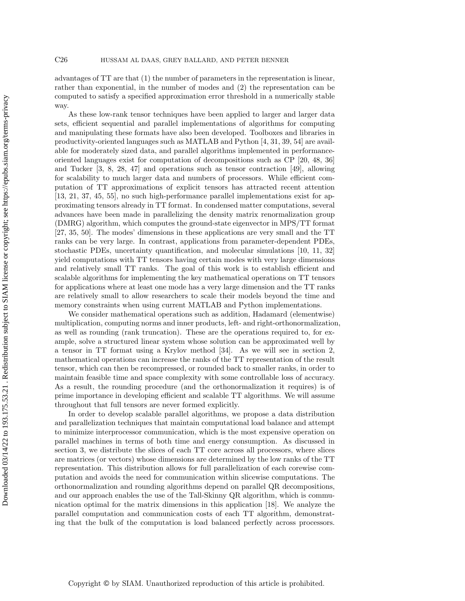advantages of TT are that (1) the number of parameters in the representation is linear, rather than exponential, in the number of modes and (2) the representation can be computed to satisfy a specified approximation error threshold in a numerically stable way.

As these low-rank tensor techniques have been applied to larger and larger data sets, efficient sequential and parallel implementations of algorithms for computing and manipulating these formats have also been developed. Toolboxes and libraries in productivity-oriented languages such as MATLAB and Python [\[4,](#page-26-4) [31,](#page-27-6) [39,](#page-27-7) [54\]](#page-28-3) are available for moderately sized data, and parallel algorithms implemented in performanceoriented languages exist for computation of decompositions such as CP [\[20,](#page-27-8) [48,](#page-28-4) [36\]](#page-27-9) and Tucker  $\begin{bmatrix} 3, 8, 28, 47 \end{bmatrix}$  $\begin{bmatrix} 3, 8, 28, 47 \end{bmatrix}$  $\begin{bmatrix} 3, 8, 28, 47 \end{bmatrix}$  $\begin{bmatrix} 3, 8, 28, 47 \end{bmatrix}$  and operations such as tensor contraction  $\begin{bmatrix} 49 \end{bmatrix}$ , allowing for scalability to much larger data and numbers of processors. While efficient computation of TT approximations of explicit tensors has attracted recent attention [\[13,](#page-26-7) [21,](#page-27-11) [37,](#page-27-12) [45,](#page-28-7) [55\]](#page-28-8), no such high-performance parallel implementations exist for approximating tensors already in TT format. In condensed matter computations, several advances have been made in parallelizing the density matrix renormalization group (DMRG) algorithm, which computes the ground-state eigenvector in MPS/TT format [\[27,](#page-27-13) [35,](#page-27-14) [50\]](#page-28-9). The modes' dimensions in these applications are very small and the TT ranks can be very large. In contrast, applications from parameter-dependent PDEs, stochastic PDEs, uncertainty quantification, and molecular simulations [\[10,](#page-26-1) [11,](#page-26-8) [32\]](#page-27-1) yield computations with TT tensors having certain modes with very large dimensions and relatively small TT ranks. The goal of this work is to establish efficient and scalable algorithms for implementing the key mathematical operations on TT tensors for applications where at least one mode has a very large dimension and the TT ranks are relatively small to allow researchers to scale their models beyond the time and memory constraints when using current MATLAB and Python implementations.

We consider mathematical operations such as addition, Hadamard (elementwise) multiplication, computing norms and inner products, left- and right-orthonormalization, as well as rounding (rank truncation). These are the operations required to, for example, solve a structured linear system whose solution can be approximated well by a tensor in TT format using a Krylov method [\[34\]](#page-27-2). As we will see in [section 2,](#page-2-0) mathematical operations can increase the ranks of the TT representation of the result tensor, which can then be recompressed, or rounded back to smaller ranks, in order to maintain feasible time and space complexity with some controllable loss of accuracy. As a result, the rounding procedure (and the orthonormalization it requires) is of prime importance in developing efficient and scalable TT algorithms. We will assume throughout that full tensors are never formed explicitly.

In order to develop scalable parallel algorithms, we propose a data distribution and parallelization techniques that maintain computational load balance and attempt to minimize interprocessor communication, which is the most expensive operation on parallel machines in terms of both time and energy consumption. As discussed in [section 3,](#page-7-0) we distribute the slices of each TT core across all processors, where slices are matrices (or vectors) whose dimensions are determined by the low ranks of the TT representation. This distribution allows for full parallelization of each corewise computation and avoids the need for communication within slicewise computations. The orthonormalization and rounding algorithms depend on parallel QR decompositions, and our approach enables the use of the Tall-Skinny QR algorithm, which is communication optimal for the matrix dimensions in this application [\[18\]](#page-26-9). We analyze the parallel computation and communication costs of each TT algorithm, demonstrating that the bulk of the computation is load balanced perfectly across processors.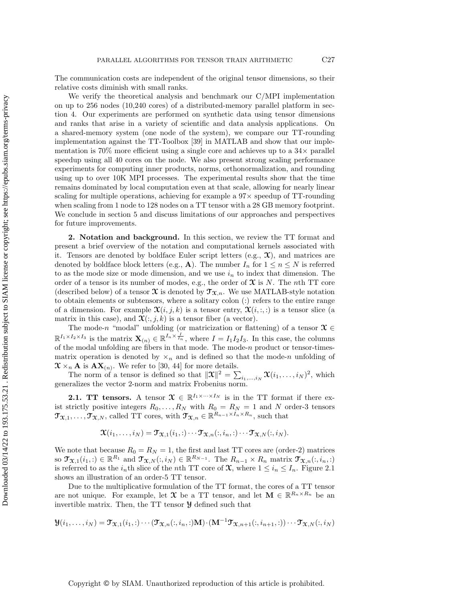The communication costs are independent of the original tensor dimensions, so their relative costs diminish with small ranks.

We verify the theoretical analysis and benchmark our C/MPI implementation on up to 256 nodes (10,240 cores) of a distributed-memory parallel platform in [sec](#page-18-0)[tion 4.](#page-18-0) Our experiments are performed on synthetic data using tensor dimensions and ranks that arise in a variety of scientific and data analysis applications. On a shared-memory system (one node of the system), we compare our TT-rounding implementation against the TT-Toolbox [\[39\]](#page-27-7) in MATLAB and show that our implementation is  $70\%$  more efficient using a single core and achieves up to a  $34\times$  parallel speedup using all 40 cores on the node. We also present strong scaling performance experiments for computing inner products, norms, orthonormalization, and rounding using up to over 10K MPI processes. The experimental results show that the time remains dominated by local computation even at that scale, allowing for nearly linear scaling for multiple operations, achieving for example a  $97\times$  speedup of TT-rounding when scaling from 1 node to 128 nodes on a TT tensor with a 28 GB memory footprint. We conclude in [section 5](#page-25-0) and discuss limitations of our approaches and perspectives for future improvements.

<span id="page-2-0"></span>2. Notation and background. In this section, we review the TT format and present a brief overview of the notation and computational kernels associated with it. Tensors are denoted by boldface Euler script letters (e.g.,  $\mathfrak{X}$ ), and matrices are denoted by boldface block letters (e.g., **A**). The number  $I_n$  for  $1 \le n \le N$  is referred to as the mode size or mode dimension, and we use  $i_n$  to index that dimension. The order of a tensor is its number of modes, e.g., the order of  $\mathfrak X$  is N. The nth TT core (described below) of a tensor  $\mathfrak X$  is denoted by  $\mathfrak T_{\mathfrak X,n}$ . We use MATLAB-style notation to obtain elements or subtensors, where a solitary colon (:) refers to the entire range of a dimension. For example  $\mathfrak{X}(i, j, k)$  is a tensor entry,  $\mathfrak{X}(i, \ldots)$  is a tensor slice (a matrix in this case), and  $\mathfrak{X}(:,j,k)$  is a tensor fiber (a vector).

The mode-n "modal" unfolding (or matricization or flattening) of a tensor  $\mathcal{X} \in$  $\mathbb{R}^{I_1 \times I_2 \times I_3}$  is the matrix  $\mathbf{X}_{(n)} \in \mathbb{R}^{I_n \times \frac{I}{I_n}}$ , where  $I = I_1 I_2 I_3$ . In this case, the columns of the modal unfolding are fibers in that mode. The mode- $n$  product or tensor-timesmatrix operation is denoted by  $\times_n$  and is defined so that the mode-n unfolding of  $\mathfrak{X} \times_n \mathbf{A}$  is  $\mathbf{AX}_{(n)}$ . We refer to [\[30,](#page-27-3) [44\]](#page-28-10) for more details.

The norm of a tensor is defined so that  $\|\mathbf{\mathcal{X}}\|^2 = \sum_{i_1,\dots,i_N} \mathbf{\mathcal{X}}(i_1,\dots,i_N)^2$ , which generalizes the vector 2-norm and matrix Frobenius norm.

**2.1. TT tensors.** A tensor  $\mathcal{X} \in \mathbb{R}^{I_1 \times \cdots \times I_N}$  is in the TT format if there exist strictly positive integers  $R_0, \ldots, R_N$  with  $R_0 = R_N = 1$  and N order-3 tensors  $\mathfrak{T}_{\mathfrak{X},1},\ldots,\mathfrak{T}_{\mathfrak{X},N}$ , called TT cores, with  $\mathfrak{T}_{\mathfrak{X},n} \in \mathbb{R}^{R_{n-1} \times I_n \times R_n}$ , such that

$$
\boldsymbol{\mathfrak{X}}(i_1,\dots,i_N)=\mathfrak{T}_{\boldsymbol{\mathfrak{X}},1}(i_1,:)\cdots\mathfrak{T}_{\boldsymbol{\mathfrak{X}},n}(:,i_n,:)\cdots\mathfrak{T}_{\boldsymbol{\mathfrak{X}},N}(:,i_N).
$$

We note that because  $R_0 = R_N = 1$ , the first and last TT cores are (order-2) matrices so  $\mathfrak{T}_{\mathfrak{X},1}(i_1,.) \in \mathbb{R}^{R_1}$  and  $\mathfrak{T}_{\mathfrak{X},N}(:,i_N) \in \mathbb{R}^{R_{N-1}}$ . The  $R_{n-1} \times R_n$  matrix  $\mathfrak{T}_{\mathfrak{X},n}(:,i_n,:)$ is referred to as the  $i_n$ th slice of the nth TT core of  $\mathfrak{X}$ , where  $1 \leq i_n \leq I_n$ . Figure [2.1](#page-3-0) shows an illustration of an order-5 TT tensor.

Due to the multiplicative formulation of the TT format, the cores of a TT tensor are not unique. For example, let  $\mathfrak X$  be a TT tensor, and let  $\mathbf M \in \mathbb R^{R_n \times R_n}$  be an invertible matrix. Then, the TT tensor Y defined such that

$$
\mathcal{Y}(i_1,\ldots,i_N)=\mathcal{T}_{\mathfrak{X},1}(i_1,:)\cdots(\mathcal{T}_{\mathfrak{X},n}(:,i_n,:)\mathbf{M})\cdot(\mathbf{M}^{-1}\mathcal{T}_{\mathfrak{X},n+1}(:,i_{n+1},:))\cdots\mathcal{T}_{\mathfrak{X},N}(:,i_N)
$$

Copyright © by SIAM. Unauthorized reproduction of this article is prohibited.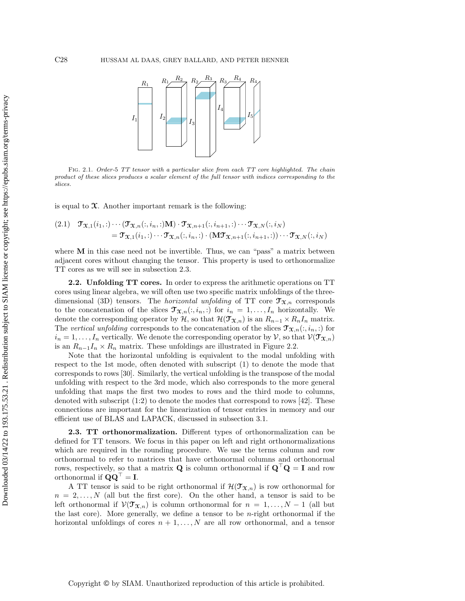<span id="page-3-0"></span>

FIG. 2.1. Order-5 TT tensor with a particular slice from each TT core highlighted. The chain product of these slices produces a scalar element of the full tensor with indices corresponding to the slices.

is equal to  $\mathfrak{X}$ . Another important remark is the following:

<span id="page-3-2"></span>(2.1) 
$$
\mathcal{T}_{\mathfrak{X},1}(i_1,:)\cdots(\mathcal{T}_{\mathfrak{X},n}(i,i_n,:)\mathbf{M})\cdot\mathcal{T}_{\mathfrak{X},n+1}(i,i_{n+1},:)\cdots\mathcal{T}_{\mathfrak{X},N}(i,i_N)
$$

$$
=\mathcal{T}_{\mathfrak{X},1}(i_1,:)\cdots\mathcal{T}_{\mathfrak{X},n}(i,i_n,:)\cdot(\mathbf{M}\mathcal{T}_{\mathfrak{X},n+1}(i,i_{n+1},:))\cdots\mathcal{T}_{\mathfrak{X},N}(i,i_N)
$$

where  $M$  in this case need not be invertible. Thus, we can "pass" a matrix between adjacent cores without changing the tensor. This property is used to orthonormalize TT cores as we will see in [subsection 2.3.](#page-3-1)

2.2. Unfolding TT cores. In order to express the arithmetic operations on TT cores using linear algebra, we will often use two specific matrix unfoldings of the threedimensional (3D) tensors. The *horizontal unfolding* of TT core  $\mathfrak{T}_{\mathfrak{X},n}$  corresponds to the concatenation of the slices  $\mathfrak{T}_{\mathfrak{X},n}(:, i_n, :)$  for  $i_n = 1, \ldots, I_n$  horizontally. We denote the corresponding operator by  $H$ , so that  $\mathcal{H}(\mathcal{T}_{\mathfrak{X},n})$  is an  $R_{n-1} \times R_n I_n$  matrix. The vertical unfolding corresponds to the concatenation of the slices  $\mathfrak{T}_{\mathfrak{X},n}(:, i_n, :)$  for  $i_n = 1, \ldots, I_n$  vertically. We denote the corresponding operator by V, so that  $V(\mathfrak{T}_{\mathfrak{X},n})$ is an  $R_{n-1}I_n \times R_n$  matrix. These unfoldings are illustrated in [Figure 2.2.](#page-4-0)

Note that the horizontal unfolding is equivalent to the modal unfolding with respect to the 1st mode, often denoted with subscript (1) to denote the mode that corresponds to rows [\[30\]](#page-27-3). Similarly, the vertical unfolding is the transpose of the modal unfolding with respect to the 3rd mode, which also corresponds to the more general unfolding that maps the first two modes to rows and the third mode to columns, denoted with subscript (1:2) to denote the modes that correspond to rows [\[42\]](#page-28-11). These connections are important for the linearization of tensor entries in memory and our efficient use of BLAS and LAPACK, discussed in [subsection 3.1.](#page-7-1)

<span id="page-3-1"></span>2.3. TT orthonormalization. Different types of orthonormalization can be defined for TT tensors. We focus in this paper on left and right orthonormalizations which are required in the rounding procedure. We use the terms column and row orthonormal to refer to matrices that have orthonormal columns and orthonormal rows, respectively, so that a matrix  $Q$  is column orthonormal if  $Q^{\top}Q = I$  and row orthonormal if  $\mathbf{Q}\mathbf{Q}^{\top} = \mathbf{I}$ .

A TT tensor is said to be right orthonormal if  $\mathcal{H}(\mathcal{T}_{\mathfrak{X},n})$  is row orthonormal for  $n = 2, \ldots, N$  (all but the first core). On the other hand, a tensor is said to be left orthonormal if  $\mathcal{V}(\mathcal{T}_{\mathfrak{X},n})$  is column orthonormal for  $n = 1, ..., N-1$  (all but the last core). More generally, we define a tensor to be  $n$ -right orthonormal if the horizontal unfoldings of cores  $n + 1, \ldots, N$  are all row orthonormal, and a tensor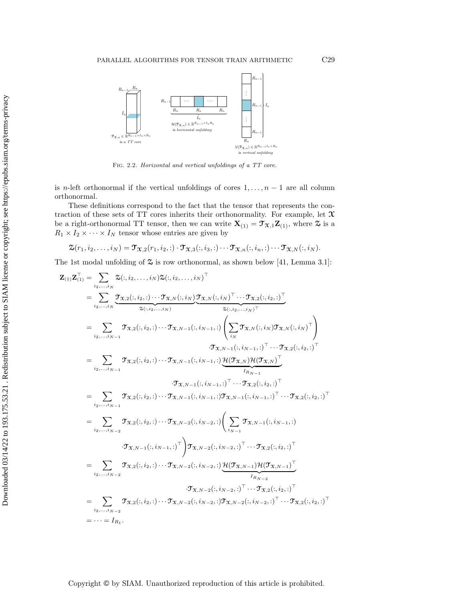<span id="page-4-0"></span>

Fig. 2.2. Horizontal and vertical unfoldings of a TT core.

is n-left orthonormal if the vertical unfoldings of cores  $1, \ldots, n-1$  are all column orthonormal.

These definitions correspond to the fact that the tensor that represents the contraction of these sets of TT cores inherits their orthonormality. For example, let  $\mathfrak X$ be a right-orthonormal TT tensor, then we can write  $\mathbf{X}_{(1)} = \mathcal{T}_{\mathcal{X},1} \mathbf{Z}_{(1)}$ , where  $\mathcal{Z}$  is a  $R_1 \times I_2 \times \cdots \times I_N$  tensor whose entries are given by

$$
\mathfrak{T}(r_1,i_2,\ldots,i_N)=\mathfrak{T}_{\mathfrak{X},2}(r_1,i_2,:)\cdot \mathfrak{T}_{\mathfrak{X},3}(:,i_3,:)\cdots \mathfrak{T}_{\mathfrak{X},n}(:,i_n,:)\cdots \mathfrak{T}_{\mathfrak{X},N}(:,i_N).
$$

The 1st modal unfolding of  $\mathfrak S$  is row orthonormal, as shown below [\[41,](#page-28-0) Lemma 3.1]:

$$
Z_{(1)}Z_{(1)}^{\top} = \sum_{i_2,...,i_N} \mathcal{Z}(:,i_2,...,i_N) \mathcal{Z}(:,i_2,...,i_N)^{\top}
$$
\n
$$
= \sum_{i_2,...,i_N} \frac{\mathcal{T}_{X,2}(:,i_2,..) \cdots \mathcal{T}_{X,N}(:,i_N) \mathcal{T}_{X,N}(:,i_N) \cdots \mathcal{T}_{X,2}(:,i_2,..)^{\top}}{\mathcal{Z}(:,i_2,...,i_N)^{\top}}}{\mathcal{Z}(:,i_2,...,i_N)} \times \mathcal{T}_{X,N}(:,i_N) \mathcal{T}_{X,N}(:,i_N)^{\top}}
$$
\n
$$
= \sum_{i_2,...,i_{N-1}} \mathcal{T}_{X,2}(:,i_2,..) \cdots \mathcal{T}_{X,N-1}(:,i_{N-1},.) \left( \sum_{i_N} \mathcal{T}_{X,N}(:,i_N) \mathcal{T}_{X,N}(:,i_N)^{\top} \right)
$$
\n
$$
= \sum_{i_2,...,i_{N-1}} \mathcal{T}_{X,2}(:,i_2,..) \cdots \mathcal{T}_{X,N-1}(:,i_{N-1},.) \underbrace{\mathcal{H}(\mathcal{T}_{X,N}) \mathcal{H}(\mathcal{T}_{X,N})^{\top}}_{I_{R_{N-1}}}
$$
\n
$$
= \sum_{i_2,...,i_{N-1}} \mathcal{T}_{X,2}(:,i_2,..) \cdots \mathcal{T}_{X,N-1}(:,i_{N-1},.) \mathcal{T}_{X,N-1}(:,i_{N-1},.) \cdots \mathcal{T}_{X,2}(:,i_2,.) \top
$$
\n
$$
= \sum_{i_2,...,i_{N-2}} \mathcal{T}_{X,2}(:,i_2,..) \cdots \mathcal{T}_{X,N-2}(:,i_{N-2},.) \left( \sum_{i_{N-1}} \mathcal{T}_{X,N-1}(:,i_{N-1},.) \right)
$$
\n
$$
= \sum_{i_2,...,i_{N-2}} \mathcal{T}_{X,2}(:,i_2,..) \cdots \mathcal{T}_{X,N-2}(:,i_{N-2},.) \underbrace{\mathcal{H}(\mathcal{T}_{X,N-1}(:,i_{N-1},.)}^{\top} \mathcal{T}_{X,2}(:,i_2,.) \top}
$$
\n
$$
= \sum_{i_2,...,i_{N-2}} \mathcal{T}_{X,2}(:,i_2,
$$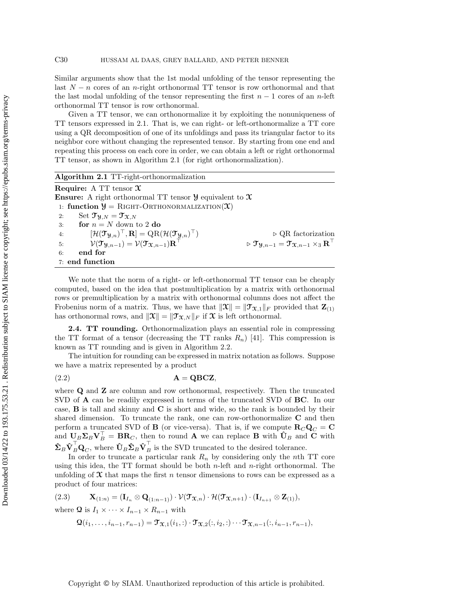Similar arguments show that the 1st modal unfolding of the tensor representing the last  $N - n$  cores of an n-right orthonormal TT tensor is row orthonormal and that the last modal unfolding of the tensor representing the first  $n-1$  cores of an n-left orthonormal TT tensor is row orthonormal.

Given a TT tensor, we can orthonormalize it by exploiting the nonuniqueness of TT tensors expressed in [2.1.](#page-3-2) That is, we can right- or left-orthonormalize a TT core using a QR decomposition of one of its unfoldings and pass its triangular factor to its neighbor core without changing the represented tensor. By starting from one end and repeating this process on each core in order, we can obtain a left or right orthonormal TT tensor, as shown in [Algorithm 2.1](#page-5-0) (for right orthonormalization).

<span id="page-5-0"></span>

| Algorithm 2.1 TT-right-orthonormalization                                                                                             |                                                                                                             |
|---------------------------------------------------------------------------------------------------------------------------------------|-------------------------------------------------------------------------------------------------------------|
| <b>Require:</b> A TT tensor $\mathfrak{X}$                                                                                            |                                                                                                             |
| <b>Ensure:</b> A right orthonormal TT tensor $\mathcal{Y}$ equivalent to $\mathcal{X}$                                                |                                                                                                             |
| 1: function $\mathcal{Y} =$ RIGHT-ORTHONORMALIZATION(X)                                                                               |                                                                                                             |
| Set $\mathfrak{T}_{\mathfrak{A},N}=\mathfrak{T}_{\mathfrak{X},N}$<br>2:                                                               |                                                                                                             |
| for $n = N$ down to 2 do<br>3:                                                                                                        |                                                                                                             |
| $[\mathcal{H}(\mathfrak{I}_{\mathfrak{Y},n})^{\top},\mathbf{R}]=\mathrm{QR}(\mathcal{H}(\mathfrak{I}_{\mathfrak{Y},n})^{\top})$<br>4: | $\triangleright$ QR factorization                                                                           |
| $\mathcal{V}(\mathcal{T}_{\mathcal{Y},n-1}) = \mathcal{V}(\mathcal{T}_{\mathcal{X},n-1})\mathbf{R}^{\top}$<br>5:                      | $\triangleright \mathfrak{T}_{\mathfrak{A},n-1} = \mathfrak{T}_{\mathfrak{X},n-1} \times_3 \mathbf{R}^\top$ |
| end for<br>6:                                                                                                                         |                                                                                                             |
| 7: end function                                                                                                                       |                                                                                                             |

We note that the norm of a right- or left-orthonormal TT tensor can be cheaply computed, based on the idea that postmultiplication by a matrix with orthonormal rows or premultiplication by a matrix with orthonormal columns does not affect the Frobenius norm of a matrix. Thus, we have that  $||\mathfrak{X}|| = ||\mathfrak{T}_{\mathfrak{X},1}||_F$  provided that  $\mathbf{Z}_{(1)}$ has orthonormal rows, and  $||\mathfrak{X}|| = ||\mathfrak{T}_{\mathfrak{X},N}||_F$  if  $\mathfrak{X}$  is left orthonormal.

<span id="page-5-3"></span>2.4. TT rounding. Orthonormalization plays an essential role in compressing the TT format of a tensor (decreasing the TT ranks  $R_n$ ) [\[41\]](#page-28-0). This compression is known as TT rounding and is given in [Algorithm 2.2.](#page-6-0)

The intuition for rounding can be expressed in matrix notation as follows. Suppose we have a matrix represented by a product

<span id="page-5-2"></span>
$$
A = QBCZ,
$$

where **Q** and **Z** are column and row orthonormal, respectively. Then the truncated SVD of A can be readily expressed in terms of the truncated SVD of BC. In our case, B is tall and skinny and C is short and wide, so the rank is bounded by their shared dimension. To truncate the rank, one can row-orthonormalize C and then perform a truncated SVD of **B** (or vice-versa). That is, if we compute  $\mathbf{R}_C \mathbf{Q}_C = \mathbf{C}$ and  $U_B \Sigma_B V_B^{\top} = BR_C$ , then to round A we can replace B with  $\hat{U}_B$  and C with  $\hat{\Sigma}_B \hat{\mathbf{V}}_B^{\top} \mathbf{Q}_C$ , where  $\hat{\mathbf{U}}_B \hat{\Sigma}_B \hat{\mathbf{V}}_B^{\top}$  is the SVD truncated to the desired tolerance.

In order to truncate a particular rank  $R_n$  by considering only the nth TT core using this idea, the  $TT$  format should be both *n*-left and *n*-right orthonormal. The unfolding of  $\mathfrak X$  that maps the first n tensor dimensions to rows can be expressed as a product of four matrices:

$$
(2.3) \qquad \mathbf{X}_{(1:n)} = (\mathbf{I}_{I_n} \otimes \mathbf{Q}_{(1:n-1)}) \cdot \mathcal{V}(\mathbf{T}_{\mathbf{X},n}) \cdot \mathcal{H}(\mathbf{T}_{\mathbf{X},n+1}) \cdot (\mathbf{I}_{I_{n+1}} \otimes \mathbf{Z}_{(1)}),
$$

where Q is  $I_1 \times \cdots \times I_{n-1} \times R_{n-1}$  with

<span id="page-5-1"></span>
$$
\mathbf{\Omega}(i_1,\ldots,i_{n-1},r_{n-1})=\mathbf{\mathcal{T}}_{\mathbf{\mathfrak{X}},1}(i_1,:)\cdot\mathbf{\mathcal{T}}_{\mathbf{\mathfrak{X}},2}(:,i_2,:)\cdots\mathbf{\mathcal{T}}_{\mathbf{\mathfrak{X}},n-1}(:,i_{n-1},r_{n-1}),
$$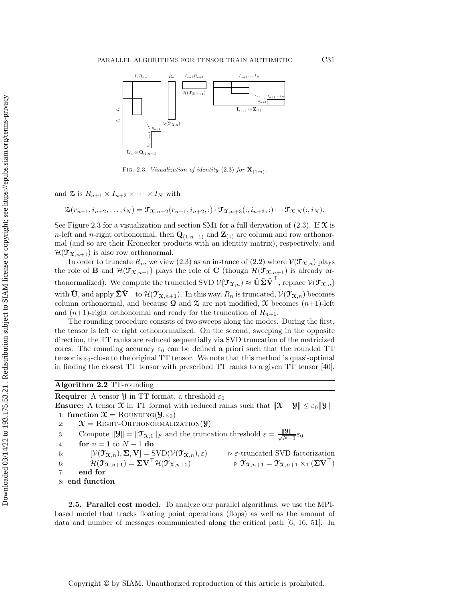<span id="page-6-1"></span>

FIG. 2.3. Visualization of identity [\(2.3\)](#page-5-1) for  $\mathbf{X}_{(1:n)}$ .

and  $\mathfrak{S}$  is  $R_{n+1} \times I_{n+2} \times \cdots \times I_N$  with

$$
\mathfrak{Z}(r_{n+1},i_{n+2},\ldots,i_N)=\mathfrak{T}_{\mathfrak{X},n+2}(r_{n+1},i_{n+2},:)\cdot \mathfrak{T}_{\mathfrak{X},n+3}(:,i_{n+3},:)\cdots \mathfrak{T}_{\mathfrak{X},N}(:,i_N).
$$

See [Figure 2.3](#page-6-1) for a visualization and [section SM1](#page-0-0) for a full derivation of [\(2.3\).](#page-5-1) If  $\mathfrak{X}$  is n-left and n-right orthonormal, then  $\mathbf{Q}_{(1:n-1)}$  and  $\mathbf{Z}_{(1)}$  are column and row orthonormal (and so are their Kronecker products with an identity matrix), respectively, and  $\mathcal{H}(\mathcal{T}_{\mathfrak{X},n+1})$  is also row orthonormal.

In order to truncate  $R_n$ , we view [\(2.3\)](#page-5-1) as an instance of [\(2.2\)](#page-5-2) where  $\mathcal{V}(\mathcal{T}_{\mathfrak{X},n})$  plays the role of **B** and  $\mathcal{H}(\mathcal{T}_{\mathfrak{X},n+1})$  plays the role of **C** (though  $\mathcal{H}(\mathcal{T}_{\mathfrak{X},n+1})$  is already orthonormalized). We compute the truncated SVD  $\mathcal{V}(\mathcal{T}_{\mathfrak{X},n}) \approx \hat{\mathbf{U}} \hat{\mathbf{\Sigma}} \hat{\mathbf{V}}^{\top}$ , replace  $\mathcal{V}(\mathcal{T}_{\mathfrak{X},n})$ with  $\hat{\mathbf{U}}$ , and apply  $\hat{\boldsymbol{\Sigma}} \hat{\mathbf{V}}^{\top}$  to  $\mathcal{H}(\mathcal{T}_{\mathfrak{X},n+1})$ . In this way,  $R_n$  is truncated,  $\mathcal{V}(\mathcal{T}_{\mathfrak{X},n})$  becomes column orthonormal, and because  $\Omega$  and  $\Omega$  are not modified,  $\mathcal X$  becomes  $(n+1)$ -left and  $(n+1)$ -right orthonormal and ready for the truncation of  $R_{n+1}$ .

The rounding procedure consists of two sweeps along the modes. During the first, the tensor is left or right orthonormalized. On the second, sweeping in the opposite direction, the TT ranks are reduced sequentially via SVD truncation of the matricized cores. The rounding accuracy  $\varepsilon_0$  can be defined a priori such that the rounded TT tensor is  $\varepsilon_0$ -close to the original TT tensor. We note that this method is quasi-optimal in finding the closest TT tensor with prescribed TT ranks to a given TT tensor [\[40\]](#page-27-15).

# <span id="page-6-0"></span>Algorithm 2.2 TT-rounding

**Require:** A tensor  $\mathcal{Y}$  in TT format, a threshold  $\varepsilon_0$ **Ensure:** A tensor  $\mathbf{\hat{x}}$  in TT format with reduced ranks such that  $\|\mathbf{\hat{x}} - \mathbf{\hat{y}}\| \leq \varepsilon_0 \|\mathbf{\hat{y}}\|$ 1: function  $\mathfrak{X} = \text{RowDING}(\mathfrak{Y}, \varepsilon_0)$ 2:  $\mathcal{X} = \text{RIGHT-ORTHONORMALIZATION}(\mathcal{Y})$ 3: Compute  $||\mathbf{y}|| = ||\mathbf{T}_{\mathbf{\mathcal{X}},1}||_F$  and the truncation threshold  $\varepsilon = \frac{||\mathbf{y}||}{\sqrt{N-1}}\varepsilon_0$ 4: **for**  $n = 1$  to  $N - 1$  do 5:  $[\mathcal{V}(\mathfrak{T}_{\mathfrak{X},n}), \Sigma, \mathbf{V}] = \text{SVD}(\mathcal{V}(\mathfrak{T}_{\mathfrak{X},n}), \varepsilon)$ <br>6:  $\mathcal{H}(\mathfrak{T}_{\mathfrak{X},n+1}) = \Sigma \mathbf{V}^\top \mathcal{H}(\mathfrak{T}_{\mathfrak{X},n+1})$ 6:  $[\mathcal{V}(\mathcal{T}_{\mathfrak{X},n}), \Sigma, \mathbf{V}] = \text{SVD}(\mathcal{V}(\mathcal{T}_{\mathfrak{X},n}), \varepsilon)$   $\triangleright$  ε-truncated SVD factorization<br>
6:  $\mathcal{H}(\mathcal{T}_{\mathfrak{X},n+1}) = \Sigma \mathbf{V}^\top \mathcal{H}(\mathcal{T}_{\mathfrak{X},n+1})$   $\triangleright$   $\mathcal{T}_{\mathfrak{X},n+1} = \mathcal{T}_{\mathfrak{X},n+1} \times_1 (\Sigma \mathbf{V}$ 7: end for 8: end function

2.5. Parallel cost model. To analyze our parallel algorithms, we use the MPIbased model that tracks floating point operations (flops) as well as the amount of data and number of messages communicated along the critical path [\[6,](#page-26-10) [16,](#page-26-11) [51\]](#page-28-12). In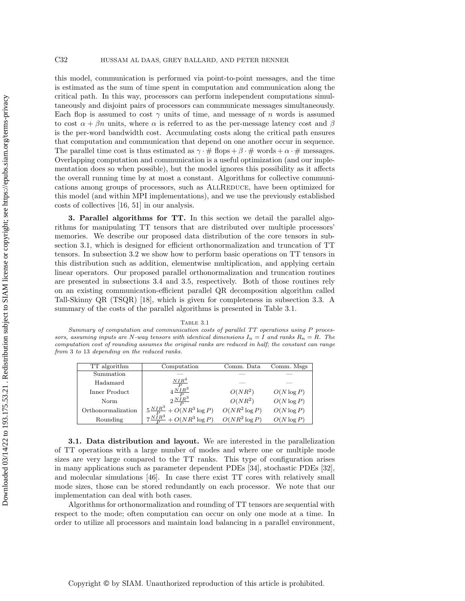this model, communication is performed via point-to-point messages, and the time is estimated as the sum of time spent in computation and communication along the critical path. In this way, processors can perform independent computations simultaneously and disjoint pairs of processors can communicate messages simultaneously. Each flop is assumed to cost  $\gamma$  units of time, and message of n words is assumed to cost  $\alpha + \beta n$  units, where  $\alpha$  is referred to as the per-message latency cost and  $\beta$ is the per-word bandwidth cost. Accumulating costs along the critical path ensures that computation and communication that depend on one another occur in sequence. The parallel time cost is thus estimated as  $\gamma \cdot \# \text{ flops} + \beta \cdot \# \text{ words} + \alpha \cdot \# \text{ messages.}$ Overlapping computation and communication is a useful optimization (and our implementation does so when possible), but the model ignores this possibility as it affects the overall running time by at most a constant. Algorithms for collective communications among groups of processors, such as AllReduce, have been optimized for this model (and within MPI implementations), and we use the previously established costs of collectives [\[16,](#page-26-11) [51\]](#page-28-12) in our analysis.

<span id="page-7-0"></span>3. Parallel algorithms for TT. In this section we detail the parallel algorithms for manipulating TT tensors that are distributed over multiple processors' memories. We describe our proposed data distribution of the core tensors in [sub](#page-7-1)[section 3.1,](#page-7-1) which is designed for efficient orthonormalization and truncation of TT tensors. In [subsection 3.2](#page-9-0) we show how to perform basic operations on TT tensors in this distribution such as addition, elementwise multiplication, and applying certain linear operators. Our proposed parallel orthonormalization and truncation routines are presented in [subsections 3.4](#page-14-0) and [3.5,](#page-15-0) respectively. Both of those routines rely on an existing communication-efficient parallel QR decomposition algorithm called Tall-Skinny QR (TSQR) [\[18\]](#page-26-9), which is given for completeness in [subsection 3.3.](#page-12-0) A summary of the costs of the parallel algorithms is presented in [Table 3.1.](#page-7-2)

TABLE  $3.1$ 

<span id="page-7-2"></span>Summary of computation and communication costs of parallel TT operations using P processors, assuming inputs are N-way tensors with identical dimensions  $I_n = I$  and ranks  $R_n = R$ . The computation cost of rounding assumes the original ranks are reduced in half; the constant can range from 3 to 13 depending on the reduced ranks.

| TT algorithm       | Computation                                                     | Comm. Data       | Comm. Msgs    |
|--------------------|-----------------------------------------------------------------|------------------|---------------|
| Summation          |                                                                 |                  |               |
| Hadamard           | NIR <sup>4</sup>                                                |                  |               |
| Inner Product      | $\begin{array}{c}\n\hline\nP \\ 4 \frac{NIR^3}{P}\n\end{array}$ | $O(NR^2)$        | $O(N \log P)$ |
| Norm               |                                                                 | $O(NR^2)$        | $O(N \log P)$ |
| Orthonormalization | $5\frac{NIR^3}{P}+O(NR^3\log P)$                                | $O(NR^2 \log P)$ | $O(N \log P)$ |
| Rounding           | $7\frac{NIR^3}{P}+O(NR^3\log P)$                                | $O(NR^2 \log P)$ | $O(N \log P)$ |

<span id="page-7-1"></span>3.1. Data distribution and layout. We are interested in the parallelization of TT operations with a large number of modes and where one or multiple mode sizes are very large compared to the TT ranks. This type of configuration arises in many applications such as parameter dependent PDEs [\[34\]](#page-27-2), stochastic PDEs [\[32\]](#page-27-1), and molecular simulations [\[46\]](#page-28-1). In case there exist TT cores with relatively small mode sizes, those can be stored redundantly on each processor. We note that our implementation can deal with both cases.

Algorithms for orthonormalization and rounding of TT tensors are sequential with respect to the mode; often computation can occur on only one mode at a time. In order to utilize all processors and maintain load balancing in a parallel environment,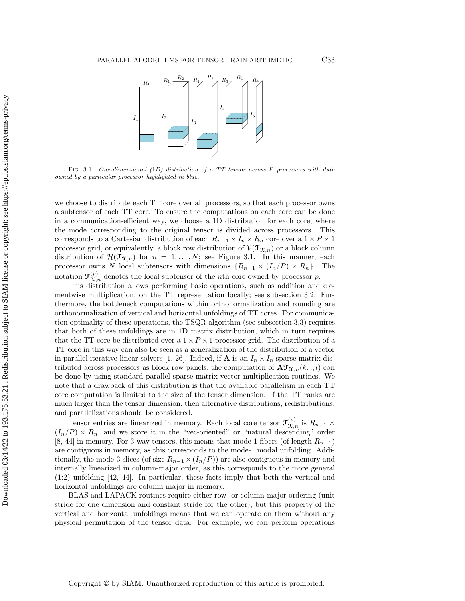

FIG. 3.1. One-dimensional  $(1D)$  distribution of a TT tensor across P processors with data owned by a particular processor highlighted in blue.

we choose to distribute each TT core over all processors, so that each processor owns a subtensor of each TT core. To ensure the computations on each core can be done in a communication-efficient way, we choose a 1D distribution for each core, where the mode corresponding to the original tensor is divided across processors. This corresponds to a Cartesian distribution of each  $R_{n-1} \times I_n \times R_n$  core over a  $1 \times P \times 1$ processor grid, or equivalently, a block row distribution of  $\mathcal{V}(\mathcal{T}_{\mathfrak{X},n})$  or a block column distribution of  $\mathcal{H}(\mathcal{T}_{\mathfrak{X},n})$  for  $n = 1, \ldots, N$ ; see [Figure 3.1.](#page-8-0) In this manner, each processor owns N local subtensors with dimensions  $\{R_{n-1} \times (I_n/P) \times R_n\}$ . The notation  $\mathfrak{T}_{\mathfrak{X},n}^{(p)}$  denotes the local subtensor of the *n*th core owned by processor p.

This distribution allows performing basic operations, such as addition and elementwise multiplication, on the TT representation locally; see [subsection 3.2.](#page-9-0) Furthermore, the bottleneck computations within orthonormalization and rounding are orthonormalization of vertical and horizontal unfoldings of TT cores. For communication optimality of these operations, the TSQR algorithm (see [subsection 3.3\)](#page-12-0) requires that both of these unfoldings are in 1D matrix distribution, which in turn requires that the TT core be distributed over a  $1 \times P \times 1$  processor grid. The distribution of a TT core in this way can also be seen as a generalization of the distribution of a vector in parallel iterative linear solvers [\[1,](#page-26-12) [26\]](#page-27-16). Indeed, if **A** is an  $I_n \times I_n$  sparse matrix distributed across processors as block row panels, the computation of  $\mathbf{AT}_{\mathbf{X},n}(k,:,l)$  can be done by using standard parallel sparse-matrix-vector multiplication routines. We note that a drawback of this distribution is that the available parallelism in each TT core computation is limited to the size of the tensor dimension. If the TT ranks are much larger than the tensor dimension, then alternative distributions, redistributions, and parallelizations should be considered.

<span id="page-8-0"></span>Downloaded 03/14/22 to 193.175.53.21 . Redistribution subject to SIAM license or copyright; see https://epubs.siam.org/terms-privacyDownloaded 03/14/22 to 193.175.53.21 . Redistribution subject to SIAM license or copyright; see https://epubs.siam.org/terms-privacy

Tensor entries are linearized in memory. Each local core tensor  $\mathfrak{T}_{\mathfrak{X},n}^{(p)}$  is  $R_{n-1} \times$  $(I_n/P) \times R_n$ , and we store it in the "vec-oriented" or "natural descending" order [\[8,](#page-26-6) [44\]](#page-28-10) in memory. For 3-way tensors, this means that mode-1 fibers (of length  $R_{n-1}$ ) are contiguous in memory, as this corresponds to the mode-1 modal unfolding. Additionally, the mode-3 slices (of size  $R_{n-1} \times (I_n/P)$ ) are also contiguous in memory and internally linearized in column-major order, as this corresponds to the more general (1:2) unfolding [\[42,](#page-28-11) [44\]](#page-28-10). In particular, these facts imply that both the vertical and horizontal unfoldings are column major in memory.

BLAS and LAPACK routines require either row- or column-major ordering (unit stride for one dimension and constant stride for the other), but this property of the vertical and horizontal unfoldings means that we can operate on them without any physical permutation of the tensor data. For example, we can perform operations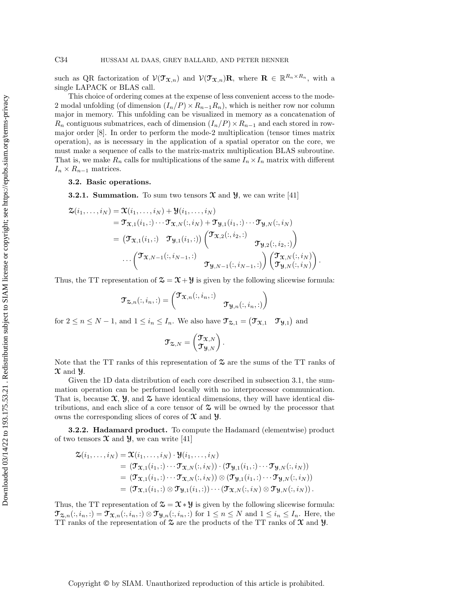such as QR factorization of  $\mathcal{V}(\mathcal{T}_{\mathfrak{X},n})$  and  $\mathcal{V}(\mathcal{T}_{\mathfrak{X},n})\mathbf{R}$ , where  $\mathbf{R} \in \mathbb{R}^{R_n \times R_n}$ , with a single LAPACK or BLAS call.

This choice of ordering comes at the expense of less convenient access to the mode-2 modal unfolding (of dimension  $(I_n/P) \times R_{n-1}R_n$ ), which is neither row nor column major in memory. This unfolding can be visualized in memory as a concatenation of  $R_n$  contiguous submatrices, each of dimension  $(I_n/P) \times R_{n-1}$  and each stored in rowmajor order [\[8\]](#page-26-6). In order to perform the mode-2 multiplication (tensor times matrix operation), as is necessary in the application of a spatial operator on the core, we must make a sequence of calls to the matrix-matrix multiplication BLAS subroutine. That is, we make  $R_n$  calls for multiplications of the same  $I_n \times I_n$  matrix with different  $I_n \times R_{n-1}$  matrices.

<span id="page-9-0"></span>3.2. Basic operations.

<span id="page-9-1"></span>**3.2.1. Summation.** To sum two tensors  $\mathfrak{X}$  and  $\mathfrak{Y}$ , we can write [\[41\]](#page-28-0)

$$
\mathfrak{X}(i_1,\ldots,i_N) = \mathfrak{X}(i_1,\ldots,i_N) + \mathfrak{Y}(i_1,\ldots,i_N)
$$
\n
$$
= \mathfrak{Y}_{\mathfrak{X},1}(i_1,:)\cdots\mathfrak{Y}_{\mathfrak{X},N}(:,i_N) + \mathfrak{Y}_{\mathfrak{Y},1}(i_1,:)\cdots\mathfrak{Y}_{\mathfrak{Y},N}(:,i_N)
$$
\n
$$
= (\mathfrak{Y}_{\mathfrak{X},1}(i_1,:)\quad\mathfrak{Y}_{\mathfrak{Y},1}(i_1,:))\begin{pmatrix} \mathfrak{T}_{\mathfrak{X},2}(:,i_2,:) \\ & \mathfrak{T}_{\mathfrak{Y},2}(:,i_2,:) \end{pmatrix}
$$
\n
$$
\cdots \begin{pmatrix} \mathfrak{T}_{\mathfrak{X},N-1}(:,i_{N-1},:) \\ & \mathfrak{T}_{\mathfrak{Y},N-1}(:,i_{N-1},:) \end{pmatrix} \begin{pmatrix} \mathfrak{T}_{\mathfrak{X},N}(:,i_N) \\ \mathfrak{T}_{\mathfrak{Y},N}(:,i_N) \end{pmatrix}
$$

Thus, the TT representation of  $\mathcal{Z} = \mathcal{X} + \mathcal{Y}$  is given by the following slicewise formula:

.

$$
\mathfrak{T}_{\mathfrak{Z},n}(:,i_n,:)=\begin{pmatrix} \mathfrak{T}_{\mathfrak{X},n}(:,i_n,:) & \\ & \mathfrak{T}_{\mathfrak{Y},n}(:,i_n,:) \end{pmatrix}
$$

for  $2 \leq n \leq N-1$ , and  $1 \leq i_n \leq I_n$ . We also have  $\mathfrak{T}_{\mathfrak{D},1} = (\mathfrak{T}_{\mathfrak{X},1} \quad \mathfrak{T}_{\mathfrak{Y},1})$  and

$$
\mathfrak{T}_{\mathfrak{Z},N}=\begin{pmatrix} \mathfrak{T}_{\mathfrak{X},N} \\ \mathfrak{T}_{\mathfrak{Y},N} \end{pmatrix}.
$$

Note that the TT ranks of this representation of  $\mathfrak{S}$  are the sums of the TT ranks of  $\mathfrak{X}$  and  $\mathfrak{Y}$ .

Given the 1D data distribution of each core described in [subsection 3.1,](#page-7-1) the summation operation can be performed locally with no interprocessor communication. That is, because  $\mathfrak{X}, \mathfrak{Y},$  and  $\mathfrak{X}$  have identical dimensions, they will have identical distributions, and each slice of a core tensor of  $\mathfrak{S}$  will be owned by the processor that owns the corresponding slices of cores of  $\mathfrak X$  and  $\mathfrak Y$ .

3.2.2. Hadamard product. To compute the Hadamard (elementwise) product of two tensors  $\mathfrak X$  and  $\mathfrak Y$ , we can write [\[41\]](#page-28-0)

$$
\mathfrak{X}(i_1,\ldots,i_N) = \mathfrak{X}(i_1,\ldots,i_N) \cdot \mathfrak{Y}(i_1,\ldots,i_N)
$$
\n
$$
= (\mathfrak{Y}_{\mathfrak{X},1}(i_1,:)\cdots \mathfrak{Y}_{\mathfrak{X},N}(:,i_N)) \cdot (\mathfrak{Y}_{\mathfrak{Y},1}(i_1,:)\cdots \mathfrak{Y}_{\mathfrak{Y},N}(:,i_N))
$$
\n
$$
= (\mathfrak{Y}_{\mathfrak{X},1}(i_1,:)\cdots \mathfrak{Y}_{\mathfrak{X},N}(:,i_N)) \otimes (\mathfrak{Y}_{\mathfrak{Y},1}(i_1,:)\cdots \mathfrak{Y}_{\mathfrak{Y},N}(:,i_N))
$$
\n
$$
= (\mathfrak{Y}_{\mathfrak{X},1}(i_1,:)\otimes \mathfrak{Y}_{\mathfrak{Y},1}(i_1,:))\cdots (\mathfrak{Y}_{\mathfrak{X},N}(:,i_N)\otimes \mathfrak{Y}_{\mathfrak{Y},N}(:,i_N)).
$$

Thus, the TT representation of  $\mathcal{Z} = \mathcal{X} * \mathcal{Y}$  is given by the following slicewise formula:  $\mathfrak{T}_{\mathfrak{X},n}(:,i_n,:)=\mathfrak{T}_{\mathfrak{X},n}(:,i_n,:)\otimes \mathfrak{T}_{\mathfrak{Y},n}(:,i_n,:)$  for  $1\leq n\leq N$  and  $1\leq i_n\leq I_n$ . Here, the TT ranks of the representation of  $\mathfrak{S}$  are the products of the TT ranks of  $\mathfrak{X}$  and  $\mathcal{Y}$ .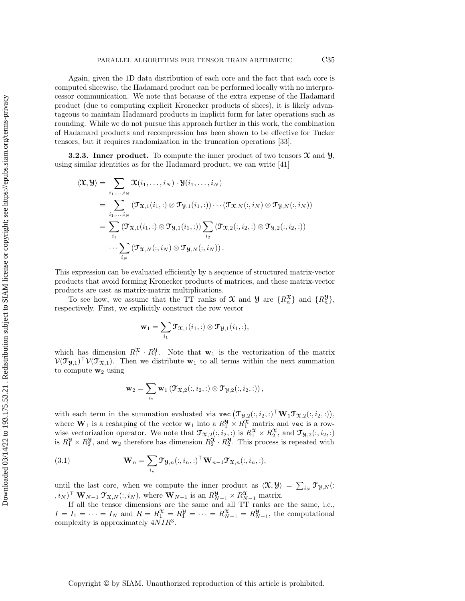Again, given the 1D data distribution of each core and the fact that each core is computed slicewise, the Hadamard product can be performed locally with no interprocessor communication. We note that because of the extra expense of the Hadamard product (due to computing explicit Kronecker products of slices), it is likely advantageous to maintain Hadamard products in implicit form for later operations such as rounding. While we do not pursue this approach further in this work, the combination of Hadamard products and recompression has been shown to be effective for Tucker tensors, but it requires randomization in the truncation operations [\[33\]](#page-27-17).

<span id="page-10-1"></span>**3.2.3.** Inner product. To compute the inner product of two tensors  $\mathfrak{X}$  and  $\mathfrak{Y}$ , using similar identities as for the Hadamard product, we can write [\[41\]](#page-28-0)

$$
\langle \mathfrak{X}, \mathfrak{Y} \rangle = \sum_{i_1, \dots, i_N} \mathfrak{X}(i_1, \dots, i_N) \cdot \mathfrak{Y}(i_1, \dots, i_N)
$$
  
\n
$$
= \sum_{i_1, \dots, i_N} (\mathfrak{T}_{\mathfrak{X},1}(i_1, :) \otimes \mathfrak{T}_{\mathfrak{Y},1}(i_1, :)) \cdots (\mathfrak{T}_{\mathfrak{X},N}(:, i_N) \otimes \mathfrak{T}_{\mathfrak{Y},N}(:, i_N))
$$
  
\n
$$
= \sum_{i_1} (\mathfrak{T}_{\mathfrak{X},1}(i_1, :) \otimes \mathfrak{T}_{\mathfrak{Y},1}(i_1, :)) \sum_{i_2} (\mathfrak{T}_{\mathfrak{X},2}(:, i_2, :) \otimes \mathfrak{T}_{\mathfrak{Y},2}(:, i_2, :))
$$
  
\n
$$
\cdots \sum_{i_N} (\mathfrak{T}_{\mathfrak{X},N}(:, i_N) \otimes \mathfrak{T}_{\mathfrak{Y},N}(:, i_N)).
$$

This expression can be evaluated efficiently by a sequence of structured matrix-vector products that avoid forming Kronecker products of matrices, and these matrix-vector products are cast as matrix-matrix multiplications.

To see how, we assume that the TT ranks of  $\mathfrak X$  and  $\mathcal Y$  are  $\{R_n^{\mathfrak X}\}$  and  $\{R_n^{\mathcal Y}\}$ , respectively. First, we explicitly construct the row vector

$$
\mathbf{w}_1 = \sum_{i_1} \mathbf{\mathcal{T}}_{\mathbf{\mathcal{X}},1}(i_1,:) \otimes \mathbf{\mathcal{T}}_{\mathbf{\mathcal{Y}},1}(i_1,:),
$$

which has dimension  $R_1^{\mathfrak{X}} \cdot R_1^{\mathfrak{Y}}$ . Note that  $\mathbf{w}_1$  is the vectorization of the matrix  $V(\mathfrak{I}_{\mathfrak{Y},1})^{\top}V(\mathfrak{I}_{\mathfrak{X},1})$ . Then we distribute  $\mathbf{w}_1$  to all terms within the next summation to compute  $w_2$  using

$$
\mathbf{w}_2 = \sum_{i_2} \mathbf{w}_1 \left( \mathbf{\mathcal{T}}_{\mathbf{\mathcal{X}},2}(:,i_2,:) \otimes \mathbf{\mathcal{T}}_{\mathbf{\mathcal{Y}},2}(:,i_2,:) \right),
$$

with each term in the summation evaluated via vec  $(\mathcal{T}_{\mathcal{Y},2}(:,i_2,:)^{\top} \mathbf{W}_1 \mathcal{T}_{\mathcal{X},2}(:,i_2,:)),$ where  $\mathbf{W}_1$  is a reshaping of the vector  $\mathbf{w}_1$  into a  $R_1^{\mathcal{Y}} \times R_1^{\mathcal{X}}$  matrix and vec is a rowwise vectorization operator. We note that  $\mathcal{T}_{\mathfrak{X},2}(:,i_2,:)$  is  $R_1^{\mathfrak{X}} \times R_2^{\mathfrak{X}}$ , and  $\mathcal{T}_{\mathfrak{Y},2}(:,i_2,:)$ is  $R_1^{\mathcal{Y}} \times R_2^{\mathcal{Y}}$ , and  $\mathbf{w}_2$  therefore has dimension  $R_2^{\mathcal{X}} \cdot R_2^{\mathcal{Y}}$ . This process is repeated with

<span id="page-10-0"></span>(3.1) 
$$
\mathbf{W}_n = \sum_{i_n} \mathbf{\mathcal{T}}_{\mathcal{Y},n}(:,i_n,:)^{\top} \mathbf{W}_{n-1} \mathbf{\mathcal{T}}_{\mathcal{X},n}(:,i_n,:),
$$

until the last core, when we compute the inner product as  $\langle \mathfrak{X}, \mathcal{Y} \rangle = \sum_{i_N} \mathfrak{I}_{\mathcal{Y},N}$ .  $(i_N)$ <sup>T</sup> **W**<sub>N-1</sub>  $\mathbf{\mathcal{T}}_{\mathbf{X},N}(:, i_N)$ , where **W**<sub>N-1</sub> is an  $R_{N-1}^{\mathbf{\mathcal{Y}}}\times R_{N-1}^{\mathbf{\mathcal{X}}}$  matrix.

If all the tensor dimensions are the same and all TT ranks are the same, i.e.,  $I = I_1 = \cdots = I_N$  and  $R = R_1^{\mathfrak{X}} = R_1^{\mathfrak{Y}} = \cdots = R_{N-1}^{\mathfrak{X}} = R_{N-1}^{\mathfrak{Y}}$ , the computational complexity is approximately  $4NIR^3$ .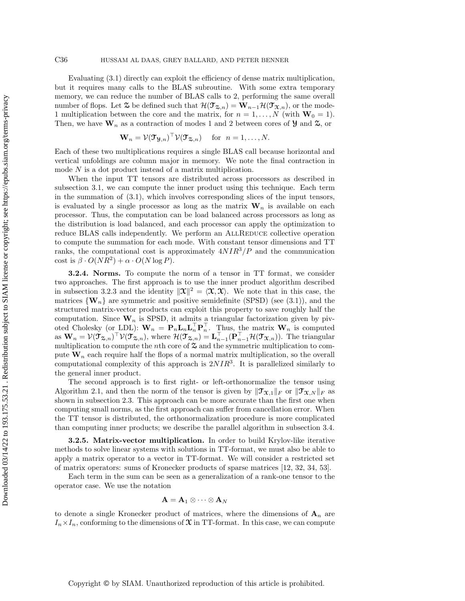Evaluating [\(3.1\)](#page-10-0) directly can exploit the efficiency of dense matrix multiplication, but it requires many calls to the BLAS subroutine. With some extra temporary memory, we can reduce the number of BLAS calls to 2, performing the same overall number of flops. Let  $\mathfrak{X}$  be defined such that  $\mathcal{H}(\mathfrak{T}_{\mathfrak{X},n}) = \mathbf{W}_{n-1}\mathcal{H}(\mathfrak{T}_{\mathfrak{X},n})$ , or the mode-1 multiplication between the core and the matrix, for  $n = 1, ..., N$  (with  $W_0 = 1$ ). Then, we have  $\mathbf{W}_n$  as a contraction of modes 1 and 2 between cores of  $\mathcal{Y}$  and  $\mathcal{Z}$ , or

$$
\mathbf{W}_n = \mathcal{V}(\mathbf{T}_{\mathcal{Y},n})^\top \mathcal{V}(\mathbf{T}_{\mathcal{Z},n}) \quad \text{for} \ \ n = 1,\ldots,N.
$$

Each of these two multiplications requires a single BLAS call because horizontal and vertical unfoldings are column major in memory. We note the final contraction in mode N is a dot product instead of a matrix multiplication.

When the input TT tensors are distributed across processors as described in [subsection 3.1,](#page-7-1) we can compute the inner product using this technique. Each term in the summation of [\(3.1\),](#page-10-0) which involves corresponding slices of the input tensors, is evaluated by a single processor as long as the matrix  $\mathbf{W}_n$  is available on each processor. Thus, the computation can be load balanced across processors as long as the distribution is load balanced, and each processor can apply the optimization to reduce BLAS calls independently. We perform an ALLREDUCE collective operation to compute the summation for each mode. With constant tensor dimensions and TT ranks, the computational cost is approximately  $4NIR^3/P$  and the communication cost is  $\beta \cdot O(NR^2) + \alpha \cdot O(N \log P)$ .

<span id="page-11-0"></span>3.2.4. Norms. To compute the norm of a tensor in TT format, we consider two approaches. The first approach is to use the inner product algorithm described in [subsection 3.2.3](#page-10-1) and the identity  $\|\mathbf{\mathcal{X}}\|^2 = \langle \mathbf{\mathcal{X}}, \mathbf{\mathcal{X}} \rangle$ . We note that in this case, the matrices  $\{W_n\}$  are symmetric and positive semidefinite (SPSD) (see [\(3.1\)\)](#page-10-0), and the structured matrix-vector products can exploit this property to save roughly half the computation. Since  $W_n$  is SPSD, it admits a triangular factorization given by pivoted Cholesky (or LDL):  $\mathbf{W}_n = \mathbf{P}_n \mathbf{L}_n \mathbf{L}_n^\top \mathbf{P}_n^\top$ . Thus, the matrix  $\mathbf{W}_n$  is computed as  $\mathbf{W}_n = \mathcal{V}(\mathcal{T}_{\mathbf{\Sigma},n})^\top \mathcal{V}(\mathcal{T}_{\mathbf{\Sigma},n})$ , where  $\mathcal{H}(\mathcal{T}_{\mathbf{\Sigma},n}) = \mathbf{L}_{n-1}^\top (\mathbf{P}_{n-1}^\top \mathcal{H}(\mathcal{T}_{\mathbf{\mathbf{X}},n}))$ . The triangular multiplication to compute the *n*th core of  $\mathfrak{S}$  and the symmetric multiplication to compute  $\mathbf{W}_n$  each require half the flops of a normal matrix multiplication, so the overall computational complexity of this approach is  $2NIR^3$ . It is parallelized similarly to the general inner product.

The second approach is to first right- or left-orthonormalize the tensor using [Algorithm 2.1,](#page-5-0) and then the norm of the tensor is given by  $\|\mathcal{T}_{\mathfrak{X},1}\|_F$  or  $\|\mathcal{T}_{\mathfrak{X},N}\|_F$  as shown in [subsection 2.3.](#page-3-1) This approach can be more accurate than the first one when computing small norms, as the first approach can suffer from cancellation error. When the TT tensor is distributed, the orthonormalization procedure is more complicated than computing inner products; we describe the parallel algorithm in [subsection 3.4.](#page-14-0)

**3.2.5. Matrix-vector multiplication.** In order to build Krylov-like iterative methods to solve linear systems with solutions in TT-format, we must also be able to apply a matrix operator to a vector in TT-format. We will consider a restricted set of matrix operators: sums of Kronecker products of sparse matrices [\[12,](#page-26-13) [32,](#page-27-1) [34,](#page-27-2) [53\]](#page-28-13).

Each term in the sum can be seen as a generalization of a rank-one tensor to the operator case. We use the notation

$$
\mathbf{A}=\mathbf{A}_1\otimes\cdots\otimes\mathbf{A}_N
$$

to denote a single Kronecker product of matrices, where the dimensions of  $A_n$  are  $I_n \times I_n$ , conforming to the dimensions of  $\mathfrak X$  in TT-format. In this case, we can compute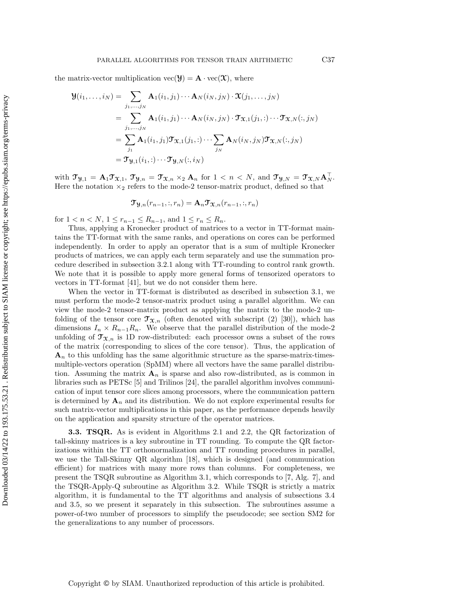the matrix-vector multiplication  $\text{vec}(\mathbf{Y}) = \mathbf{A} \cdot \text{vec}(\mathbf{X})$ , where

$$
\mathbf{Y}(i_1,\ldots,i_N) = \sum_{j_1,\ldots,j_N} \mathbf{A}_1(i_1,j_1)\cdots\mathbf{A}_N(i_N,j_N) \cdot \mathbf{X}(j_1,\ldots,j_N)
$$
  
\n
$$
= \sum_{j_1,\ldots,j_N} \mathbf{A}_1(i_1,j_1)\cdots\mathbf{A}_N(i_N,j_N) \cdot \mathbf{T}_{\mathbf{X},1}(j_1,:) \cdots \mathbf{T}_{\mathbf{X},N}(:,j_N)
$$
  
\n
$$
= \sum_{j_1} \mathbf{A}_1(i_1,j_1) \mathbf{T}_{\mathbf{X},1}(j_1,:) \cdots \sum_{j_N} \mathbf{A}_N(i_N,j_N) \mathbf{T}_{\mathbf{X},N}(:,j_N)
$$
  
\n
$$
= \mathbf{T}_{\mathbf{Y},1}(i_1,:)\cdots \mathbf{T}_{\mathbf{Y},N}(:,i_N)
$$

with  $\mathfrak{T}_{\mathcal{Y},1} = \mathbf{A}_1 \mathfrak{T}_{\mathfrak{X},1}$ ,  $\mathfrak{T}_{\mathcal{Y},n} = \mathfrak{T}_{\mathfrak{X},n} \times_2 \mathbf{A}_n$  for  $1 < n < N$ , and  $\mathfrak{T}_{\mathcal{Y},N} = \mathfrak{T}_{\mathfrak{X},N} \mathbf{A}_N^{\top}$ . Here the notation  $x_2$  refers to the mode-2 tensor-matrix product, defined so that

$$
\mathfrak{T}_{\mathfrak{Y},n}(r_{n-1},:,r_n)=\mathbf{A}_n\mathfrak{T}_{\mathfrak{X},n}(r_{n-1},:,r_n)
$$

for  $1 < n < N$ ,  $1 \le r_{n-1} \le R_{n-1}$ , and  $1 \le r_n \le R_n$ .

Thus, applying a Kronecker product of matrices to a vector in TT-format maintains the TT-format with the same ranks, and operations on cores can be performed independently. In order to apply an operator that is a sum of multiple Kronecker products of matrices, we can apply each term separately and use the summation procedure described in [subsection 3.2.1](#page-9-1) along with TT-rounding to control rank growth. We note that it is possible to apply more general forms of tensorized operators to vectors in TT-format [\[41\]](#page-28-0), but we do not consider them here.

When the vector in TT-format is distributed as described in [subsection 3.1,](#page-7-1) we must perform the mode-2 tensor-matrix product using a parallel algorithm. We can view the mode-2 tensor-matrix product as applying the matrix to the mode-2 unfolding of the tensor core  $\mathfrak{T}_{\mathfrak{X},n}$  (often denoted with subscript (2) [\[30\]](#page-27-3)), which has dimensions  $I_n \times R_{n-1}R_n$ . We observe that the parallel distribution of the mode-2 unfolding of  $\mathfrak{T}_{\mathfrak{X},n}$  is 1D row-distributed: each processor owns a subset of the rows of the matrix (corresponding to slices of the core tensor). Thus, the application of  $\mathbf{A}_n$  to this unfolding has the same algorithmic structure as the sparse-matrix-timesmultiple-vectors operation (SpMM) where all vectors have the same parallel distribution. Assuming the matrix  $\mathbf{A}_n$  is sparse and also row-distributed, as is common in libraries such as PETSc [\[5\]](#page-26-14) and Trilinos [\[24\]](#page-27-18), the parallel algorithm involves communication of input tensor core slices among processors, where the communication pattern is determined by  $\mathbf{A}_n$  and its distribution. We do not explore experimental results for such matrix-vector multiplications in this paper, as the performance depends heavily on the application and sparsity structure of the operator matrices.

<span id="page-12-0"></span>3.3. TSQR. As is evident in [Algorithms 2.1](#page-5-0) and [2.2,](#page-6-0) the QR factorization of tall-skinny matrices is a key subroutine in TT rounding. To compute the QR factorizations within the TT orthonormalization and TT rounding procedures in parallel, we use the Tall-Skinny QR algorithm [\[18\]](#page-26-9), which is designed (and communication efficient) for matrices with many more rows than columns. For completeness, we present the TSQR subroutine as [Algorithm 3.1,](#page-14-1) which corresponds to [\[7,](#page-26-15) Alg. 7], and the TSQR-Apply-Q subroutine as [Algorithm 3.2.](#page-15-1) While TSQR is strictly a matrix algorithm, it is fundamental to the TT algorithms and analysis of [subsections 3.4](#page-14-0) and [3.5,](#page-15-0) so we present it separately in this subsection. The subroutines assume a power-of-two number of processors to simplify the pseudocode; see [section SM2](#page-2-0) for the generalizations to any number of processors.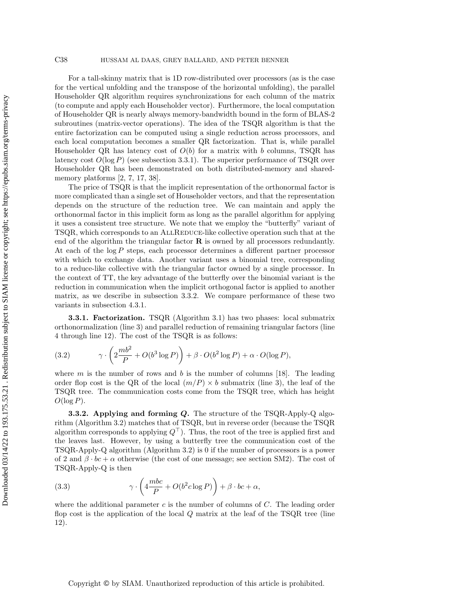For a tall-skinny matrix that is 1D row-distributed over processors (as is the case for the vertical unfolding and the transpose of the horizontal unfolding), the parallel Householder QR algorithm requires synchronizations for each column of the matrix (to compute and apply each Householder vector). Furthermore, the local computation of Householder QR is nearly always memory-bandwidth bound in the form of BLAS-2 subroutines (matrix-vector operations). The idea of the TSQR algorithm is that the entire factorization can be computed using a single reduction across processors, and each local computation becomes a smaller QR factorization. That is, while parallel Householder QR has latency cost of  $O(b)$  for a matrix with b columns, TSQR has latency cost  $O(\log P)$  (see [subsection 3.3.1\)](#page-13-0). The superior performance of TSQR over Householder QR has been demonstrated on both distributed-memory and sharedmemory platforms [\[2,](#page-26-16) [7,](#page-26-15) [17,](#page-26-17) [38\]](#page-27-19).

The price of TSQR is that the implicit representation of the orthonormal factor is more complicated than a single set of Householder vectors, and that the representation depends on the structure of the reduction tree. We can maintain and apply the orthonormal factor in this implicit form as long as the parallel algorithm for applying it uses a consistent tree structure. We note that we employ the "butterfly" variant of TSQR, which corresponds to an AllReduce-like collective operation such that at the end of the algorithm the triangular factor  $\bf{R}$  is owned by all processors redundantly. At each of the  $log P$  steps, each processor determines a different partner processor with which to exchange data. Another variant uses a binomial tree, corresponding to a reduce-like collective with the triangular factor owned by a single processor. In the context of TT, the key advantage of the butterfly over the binomial variant is the reduction in communication when the implicit orthogonal factor is applied to another matrix, as we describe in [subsection 3.3.2.](#page-13-1) We compare performance of these two variants in [subsection 4.3.1.](#page-20-0)

<span id="page-13-0"></span>3.3.1. Factorization. TSQR [\(Algorithm 3.1\)](#page-14-1) has two phases: local submatrix orthonormalization (line [3\)](#page-14-2) and parallel reduction of remaining triangular factors (line [4](#page-14-3) through line [12\)](#page-14-4). The cost of the TSQR is as follows:

<span id="page-13-2"></span>(3.2) 
$$
\gamma \cdot \left(2 \frac{mb^2}{P} + O(b^3 \log P)\right) + \beta \cdot O(b^2 \log P) + \alpha \cdot O(\log P),
$$

where m is the number of rows and b is the number of columns [\[18\]](#page-26-9). The leading order flop cost is the QR of the local  $(m/P) \times b$  submatrix (line [3\)](#page-14-2), the leaf of the TSQR tree. The communication costs come from the TSQR tree, which has height  $O(\log P)$ .

<span id="page-13-1"></span>**3.3.2.** Applying and forming  $Q$ . The structure of the TSQR-Apply-Q algorithm [\(Algorithm 3.2\)](#page-15-1) matches that of TSQR, but in reverse order (because the TSQR algorithm corresponds to applying  $Q^{\top}$ ). Thus, the root of the tree is applied first and the leaves last. However, by using a butterfly tree the communication cost of the TSQR-Apply-Q algorithm [\(Algorithm 3.2\)](#page-15-1) is 0 if the number of processors is a power of 2 and  $\beta \cdot bc + \alpha$  otherwise (the cost of one message; see [section SM2\)](#page-2-0). The cost of TSQR-Apply-Q is then

<span id="page-13-3"></span>(3.3) 
$$
\gamma \cdot \left(4 \frac{mbc}{P} + O(b^2 c \log P)\right) + \beta \cdot bc + \alpha,
$$

where the additional parameter  $c$  is the number of columns of  $C$ . The leading order flop cost is the application of the local  $Q$  matrix at the leaf of the TSQR tree (line [12\)](#page-15-2).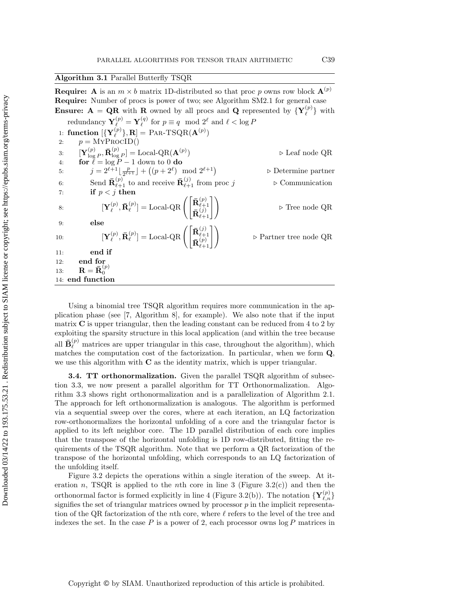<span id="page-14-1"></span>Algorithm 3.1 Parallel Butterfly TSQR

<span id="page-14-3"></span><span id="page-14-2"></span>**Require:** A is an  $m \times b$  matrix 1D-distributed so that proc p owns row block  $\mathbf{A}^{(p)}$ Require: Number of procs is power of two; see Algorithm SM2.1 for general case **Ensure:**  $A = QR$  with R owned by all procs and Q represented by  ${Y_{\ell}^{(p)}}$  $\ell^{(p)}$ } with  $\operatorname{redundancy}\,\mathbf{Y}_{\ell}^{(p)}=\mathbf{Y}_{\ell}^{(q)}$  $\ell^{(q)}$  for  $p \equiv q \mod 2^{\ell}$  and  $\ell < \log P$ 1: function  $[\{ {\bf Y}_{\ell}^{(p)} \}$  $\binom{p}{\ell}, \mathbf{R}$  = PAR-TSQR( $\mathbf{A}^{(p)}$ ) 2:  $p = \text{MYPROCID}()$ 3:  $\mathbf{Y}_{\text{log}}^{(p)}$  $\small \begin{aligned} \mathbf{R}^{(p)}_{\log P}, \mathbf{\bar{R}}^{(p)}_{\log P}] = \operatorname{Local-QR}(\mathbf{A}^{(p)}) \end{aligned}$ ) ▷ Leaf node QR 4: for  $\ell = \log P - 1$  down to 0 do 5:  $j = 2^{\ell+1} \lfloor \frac{p}{2^{\ell+1}} \rfloor$  $\frac{p}{2^{\ell+1}} \rfloor + \left( (p+2^{\ell}) \mod 2^{\ell+1} \right)$ ▷ Determine partner 6: Send  $\bar{\mathbf{R}}_{\ell+1}^{(p)}$  to and receive  $\bar{\mathbf{R}}_{\ell+1}^{(j)}$  from proc j  $\triangleright$  Communication  $7:$  if  $p < j$  then 8:  $\qquad \qquad [\mathbf{Y}_{\ell}^{(p)}]$  $_{\ell}^{(p)},\mathbf{\bar{R}}_{\ell}^{(p)}$  $\mathbf{Q}^{(p)}_{\ell}]=\operatorname{Local-QR}\left(\begin{matrix} \mathbf{\bar{R}}^{(p)}_{\ell+1} \ \mathbf{\bar{n}}^{(p)}_{\ell+1} \end{matrix}\right)$  $\mathbf{\bar{R}}_{\ell+1}^{(j)}$  $\begin{pmatrix} (p) \\ \ell +1 \\ (\ell +1) \\ \ell +1 \end{pmatrix}$   $\triangleright$  Tree node QR 9: else 10:  $\qquad \qquad [\mathbf{Y}_{\ell}^{(p)}]$  $_{\ell}^{(p)},\mathbf{\bar{R}}_{\ell}^{(p)}$  $\mathbf{I}_{\ell}^{(p)}]=\operatorname{Local-QR} \Bigg(\begin{bmatrix} \mathbf{\bar{R}}_{\ell+1}^{(j)} \ \mathbf{\bar{R}}_{\ell+1}^{(j)} \end{bmatrix}$  $\frac{\mathbf{R}_{\ell+1}^{(p)}}{\mathbf{R}_{\ell+1}^{(p)}}$  $\triangleright$  Partner tree node QR 11: end if 12: end for 13:  $\mathbf{R} = \mathbf{\bar{R}}_0^{(p)}$ 0 14: end function

<span id="page-14-4"></span>Using a binomial tree TSQR algorithm requires more communication in the application phase (see [\[7,](#page-26-15) Algorithm 8], for example). We also note that if the input matrix  $\bf{C}$  is upper triangular, then the leading constant can be reduced from 4 to 2 by exploiting the sparsity structure in this local application (and within the tree because all  $\bar{\mathbf{B}}_{\ell}^{(p)}$  matrices are upper triangular in this case, throughout the algorithm), which matches the computation cost of the factorization. In particular, when we form Q, we use this algorithm with  $C$  as the identity matrix, which is upper triangular.

<span id="page-14-0"></span>**3.4. TT orthonormalization.** Given the parallel TSQR algorithm of [subsec](#page-12-0)[tion 3.3,](#page-12-0) we now present a parallel algorithm for TT Orthonormalization. [Algo](#page-16-0)[rithm 3.3](#page-16-0) shows right orthonormalization and is a parallelization of [Algorithm 2.1.](#page-5-0) The approach for left orthonormalization is analogous. The algorithm is performed via a sequential sweep over the cores, where at each iteration, an LQ factorization row-orthonormalizes the horizontal unfolding of a core and the triangular factor is applied to its left neighbor core. The 1D parallel distribution of each core implies that the transpose of the horizontal unfolding is 1D row-distributed, fitting the requirements of the TSQR algorithm. Note that we perform a QR factorization of the transpose of the horizontal unfolding, which corresponds to an LQ factorization of the unfolding itself.

[Figure 3.2](#page-16-1) depicts the operations within a single iteration of the sweep. At it-eration n, TSQR is applied to the nth core in line [3](#page-16-2) [\(Figure 3.2\(c\)\)](#page-16-1) and then the orthonormal factor is formed explicitly in line [4](#page-16-3) [\(Figure 3.2\(b\)\)](#page-16-1). The notation  $\{Y_{\ell,n}^{(p)}\}$ signifies the set of triangular matrices owned by processor  $p$  in the implicit representation of the QR factorization of the nth core, where  $\ell$  refers to the level of the tree and indexes the set. In the case  $P$  is a power of 2, each processor owns  $\log P$  matrices in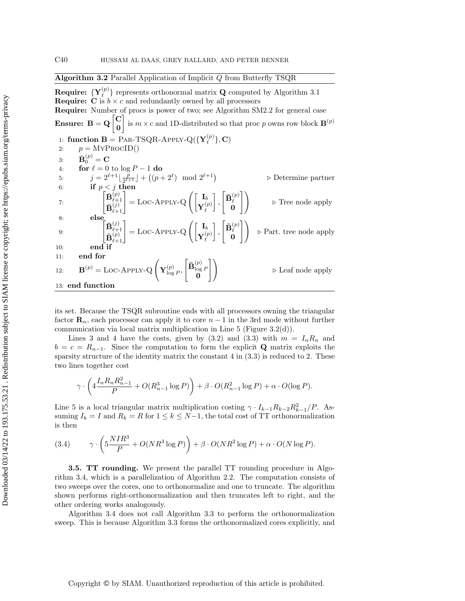<span id="page-15-1"></span>Algorithm 3.2 Parallel Application of Implicit Q from Butterfly TSQR

Require:  $\{\mathbf{Y}_\ell^{(p)}\}$  $\binom{p}{\ell}$  represents orthonormal matrix **Q** computed by [Algorithm 3.1](#page-14-1) **Require:** C is  $b \times c$  and redundantly owned by all processors Require: Number of procs is power of two; see Algorithm SM2.2 for general case Ensure:  $B = Q \begin{bmatrix} C \\ 0 \end{bmatrix}$ 0 is  $m \times c$  and 1D-distributed so that proc p owns row block  $\mathbf{B}^{(p)}$ 1: function  $\mathbf{B} = \text{PAR-TSQR-APPLY-Q}(\{\mathbf{Y}_{\ell}^{(p)}\})$  $\{\rho^{(p)}\},\mathbf{C})$ 2:  $p = \text{MYPROCID}()$ 3:  $\bar{\mathbf{B}}_0^{(p)} = \mathbf{C}$ 4: for  $\ell = 0$  to  $\log P - 1$  do 5:  $j = 2^{\ell+1} \frac{p}{2^{\ell+1}}$  $\frac{p}{2^{\ell+1}} \rfloor + \left( (p+2^{\ell}) \mod 2^{\ell+1} \right)$ ▷ Determine partner 6: if  $p < j$  then  $\overline{7:}$   $\begin{bmatrix} \overline{1} & \overline{1} & \overline{1} \\ \overline{1} & \overline{1} & \overline{1} \end{bmatrix}$  $\bar{\textbf{B}}_{\ell\pm}^{(p)}$  $\mathbf{B}_{\ell+1}^{(j)}$  $\left[\begin{smallmatrix} (p)\ \ell+1\ (j)\end{smallmatrix}\right]=\text{Loc-APPLY-Q}\left(\begin{bmatrix} \mathbf{I}_b\ \mathbf{Y}_\ell^{(j)} \end{bmatrix}\right)$  ${\bf Y}_\ell^{(p)}$  $\ell$  ,  $\left[\bar{\textbf{B}}_{\ell}^{(p)}\right]$ ℓ 0  $\triangleright$  Tree node apply 8: else  $9:$   $\begin{bmatrix} \end{bmatrix}$  $\mathbf{\bar{B}}_{\ell\pm}^{(j)}$  $\mathbf{B}_{\ell+1}^{(p)}$  $\left[\begin{smallmatrix} (j)\ \ell+1\ (p) \end{smallmatrix}\right]=\text{Loc-APPLY-Q}\left(\begin{bmatrix} \mathbf{I}_b\ \mathbf{Y}_\ell^{(p)} \end{bmatrix}\right)$  ${\bf Y}_\ell^{(p)}$  $\ell$  ,  $\left[\bar{\textbf{B}}_{\ell}^{(p)}\right]$  $\begin{bmatrix} 0 \end{bmatrix}$   $\triangleright$  Part. tree node apply  $10<sup>°</sup>$  end if 11: end for 12:  $\mathbf{B}^{(p)} = \text{LOC-APPLY-Q}\left(\mathbf{Y}_{\text{loc}}^{(p)}\right)$  $\frac{(p)}{\log P},$  $\left[\bar{\mathbf{B}}_{\text{log}}^{(p)}\right]$  $\frac{\log P}{0}$  $\triangleright$  Leaf node apply 13: end function

<span id="page-15-2"></span>its set. Because the TSQR subroutine ends with all processors owning the triangular factor  $\mathbf{R}_n$ , each processor can apply it to core  $n-1$  in the 3rd mode without further communication via local matrix multiplication in [Line 5](#page-16-4) [\(Figure 3.2\(d\)\)](#page-16-1).

[Lines 3](#page-16-2) and [4](#page-16-3) have the costs, given by [\(3.2\)](#page-13-2) and [\(3.3\)](#page-13-3) with  $m = I_n R_n$  and  $b = c = R_{n-1}$ . Since the computation to form the explicit Q matrix exploits the sparsity structure of the identity matrix the constant  $4$  in  $(3.3)$  is reduced to 2. These two lines together cost

$$
\gamma \cdot \left( 4 \frac{I_n R_n R_{n-1}^2}{P} + O(R_{n-1}^3 \log P) \right) + \beta \cdot O(R_{n-1}^2 \log P) + \alpha \cdot O(\log P).
$$

[Line 5](#page-16-4) is a local triangular matrix multiplication costing  $\gamma \cdot I_{k-1}R_{k-2}R_{k-1}^2/P$ . Assuming  $I_k = I$  and  $R_k = R$  for  $1 \leq k \leq N-1$ , the total cost of TT orthonormalization is then

(3.4) 
$$
\gamma \cdot \left(5\frac{NIR^3}{P} + O(NR^3\log P)\right) + \beta \cdot O(NR^2\log P) + \alpha \cdot O(N\log P).
$$

<span id="page-15-0"></span>3.5. TT rounding. We present the parallel TT rounding procedure in [Algo](#page-17-0)[rithm 3.4,](#page-17-0) which is a parallelization of [Algorithm 2.2.](#page-6-0) The computation consists of two sweeps over the cores, one to orthonormalize and one to truncate. The algorithm shown performs right-orthonormalization and then truncates left to right, and the other ordering works analogously.

[Algorithm 3.4](#page-17-0) does not call [Algorithm 3.3](#page-16-0) to perform the orthonormalization sweep. This is because [Algorithm 3.3](#page-16-0) forms the orthonormalized cores explicitly, and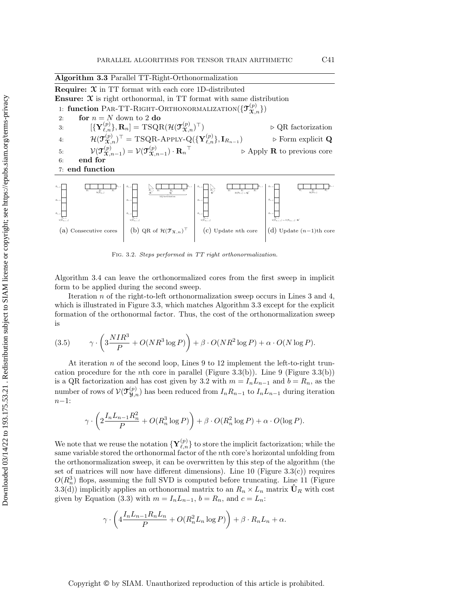<span id="page-16-4"></span><span id="page-16-3"></span><span id="page-16-2"></span><span id="page-16-0"></span>

| Algorithm 3.3 Parallel TT-Right-Orthonormalization                                                        |                                                                                                                                                                                 |                                                                                                                                                                                             |                                                                                                                                                 |  |
|-----------------------------------------------------------------------------------------------------------|---------------------------------------------------------------------------------------------------------------------------------------------------------------------------------|---------------------------------------------------------------------------------------------------------------------------------------------------------------------------------------------|-------------------------------------------------------------------------------------------------------------------------------------------------|--|
|                                                                                                           | <b>Require:</b> $\mathcal{X}$ in TT format with each core 1D-distributed                                                                                                        |                                                                                                                                                                                             |                                                                                                                                                 |  |
|                                                                                                           | <b>Ensure:</b> $\mathfrak{X}$ is right orthonormal, in TT format with same distribution                                                                                         |                                                                                                                                                                                             |                                                                                                                                                 |  |
|                                                                                                           | 1: function PAR-TT-RIGHT-ORTHONORMALIZATION( $\{\mathcal{T}_{\mathcal{X}_n}^{(p)}\}\$                                                                                           |                                                                                                                                                                                             |                                                                                                                                                 |  |
| for $n = N$ down to 2 do<br>2:                                                                            |                                                                                                                                                                                 |                                                                                                                                                                                             |                                                                                                                                                 |  |
| 3:                                                                                                        | $[\{ \mathbf{Y}_{\ell,n}^{(p)} \}, \mathbf{R}_n] = \text{TSQR}(\mathcal{H}(\mathcal{T}_{\mathbf{X},n}^{(p)})^\top)$                                                             |                                                                                                                                                                                             |                                                                                                                                                 |  |
| 4:                                                                                                        | $\mathcal{H}(\mathfrak{I}_{\mathfrak{X},n}^{(p)})^{\top} = \text{TSQR-APPLY-Q}(\{\mathbf{Y}_{\ell,n}^{(p)}\}, \mathbf{I}_{R_{n-1}})$<br>$\triangleright$ Form explicit Q        |                                                                                                                                                                                             |                                                                                                                                                 |  |
| 5:                                                                                                        | $\mathcal{V}(\mathcal{T}_{\Upsilon,n-1}^{(p)}) = \mathcal{V}(\mathcal{T}_{\Upsilon,n-1}^{(p)}) \cdot {\mathbf{R}_n}^{\top}$<br>$\triangleright$ Apply <b>R</b> to previous core |                                                                                                                                                                                             |                                                                                                                                                 |  |
| end for<br>6:                                                                                             |                                                                                                                                                                                 |                                                                                                                                                                                             |                                                                                                                                                 |  |
| $7:$ end function                                                                                         |                                                                                                                                                                                 |                                                                                                                                                                                             |                                                                                                                                                 |  |
| $R_{n}$<br>$rac{R_n}{\mathcal{H}(\mathcal{T}_{N,n})}$<br>$R_{n}$<br>$R_{n-1}$<br>$V(\mathcal{T}_{X,n-1})$ | $\frac{R_{n-1}}{\mathbf{R}^\top}$ – $R_n$<br>$\frac{R_{\rm{B}}}{\Omega}$<br>$R_{\alpha-2}$<br>$R_{\alpha-2}$<br>$R_{n-1}$<br>$V(\mathcal{T}_{X,n-1})$                           | $\frac{R_{n-1}}{\mathbf{R}^\top}$<br>$\begin{array}{ll} R_n & R_n \\ & \mathcal{H}(\mathcal{T}_{X,n}) := \mathbf{Q}^\top \end{array}$<br>$R_{n-2}$<br>$R_{n-1}$<br>$V(\mathcal{T}_{X,n-1})$ | $R_{n}$<br>$rac{R_n}{\mathcal{H}(\mathcal{T}_{X,n})}$<br>$R_{\rm max}$<br>$V(\mathcal{T}_{X, n-1}) := V(\mathcal{T}_{X, n-1}) \cdot \mathbf{R}$ |  |
| Consecutive cores<br>l a l                                                                                | (b) QR of $\mathcal{H}(\mathcal{T}_{\mathfrak{X},n})^{\top}$                                                                                                                    | Update nth core<br>(C)                                                                                                                                                                      | (d) Update $(n-1)$ th core                                                                                                                      |  |

<span id="page-16-1"></span>Fig. 3.2. Steps performed in TT right orthonormalization.

[Algorithm 3.4](#page-17-0) can leave the orthonormalized cores from the first sweep in implicit form to be applied during the second sweep.

Iteration n of the right-to-left orthonormalization sweep occurs in [Lines 3](#page-17-1) and [4,](#page-17-2) which is illustrated in Figure [3.3,](#page-17-3) which matches [Algorithm 3.3](#page-16-0) except for the explicit formation of the orthonormal factor. Thus, the cost of the orthonormalization sweep is

(3.5) 
$$
\gamma \cdot \left(3 \frac{NIR^3}{P} + O(NR^3 \log P)\right) + \beta \cdot O(NR^2 \log P) + \alpha \cdot O(N \log P).
$$

At iteration n of the second loop, [Lines 9](#page-17-4) to [12](#page-17-5) implement the left-to-right truncation procedure for the *n*th core in parallel (Figure [3.3\(b\)\)](#page-17-3). [Line 9](#page-17-4) (Figure 3.3(b)) is a QR factorization and has cost given by [3.2](#page-13-2) with  $m = I_n L_{n-1}$  and  $b = R_n$ , as the number of rows of  $\mathcal{V}(\mathfrak{I}_{\mathfrak{Z},n}^{(p)})$  has been reduced from  $I_n R_{n-1}$  to  $I_n L_{n-1}$  during iteration n−1:

$$
\gamma \cdot \left(2\frac{I_n L_{n-1} R_n^2}{P} + O(R_n^3 \log P)\right) + \beta \cdot O(R_n^2 \log P) + \alpha \cdot O(\log P).
$$

We note that we reuse the notation  $\{{\bf Y}_{\ell,n}^{(p)}\}$  to store the implicit factorization; while the same variable stored the orthonormal factor of the nth core's horizontal unfolding from the orthonormalization sweep, it can be overwritten by this step of the algorithm (the set of matrices will now have different dimensions). Line  $10$  (Figure  $3.3(c)$ ) requires  $O(R_n^3)$  flops, assuming the full SVD is computed before truncating. [Line 11](#page-17-7) (Figure [3.3\(d\)\)](#page-17-3) implicitly applies an orthonormal matrix to an  $R_n \times L_n$  matrix  $\hat{\mathbf{U}}_R$  with cost given by [Equation \(3.3\)](#page-13-3) with  $m = I_n L_{n-1}$ ,  $b = R_n$ , and  $c = L_n$ :

$$
\gamma \cdot \left( 4 \frac{I_n L_{n-1} R_n L_n}{P} + O(R_n^2 L_n \log P) \right) + \beta \cdot R_n L_n + \alpha.
$$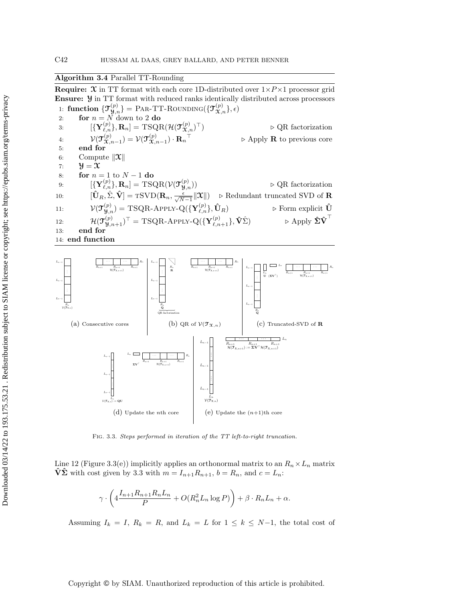# <span id="page-17-0"></span>Algorithm 3.4 Parallel TT-Rounding

**Require:**  $\mathfrak{X}$  in TT format with each core 1D-distributed over  $1 \times P \times 1$  processor grid Ensure: Y in TT format with reduced ranks identically distributed across processors 1: function  $\{\mathfrak{T}^{(p)}_{\mathfrak{Y},n}\} =$  Par-TT-Rounding $(\{\mathfrak{T}^{(p)}_{\mathfrak{X},n}\},\epsilon)$ 

<span id="page-17-2"></span><span id="page-17-1"></span>2: for  $n = N$  down to 2 do 3:  $[\{ {\bf Y}^{(p)}_{\ell,n} \}, {\bf R}_n] = {\rm TSQR}(\mathcal{H}(\mathcal{T}_{\mathcal{X},n}^{(p)})$ <sup>⊤</sup>) ▷ QR factorization 4:  $\mathcal{V}(\mathfrak{I}_\Upsilon^{(p)})$  $\mathfrak{X}_{n-1}^{(p)} ) = \mathcal{V}(\mathfrak{I}_{\mathfrak{X},n}^{(p)})$  $(\overset{(p)}{\mathbf{x}},_{n-1})\cdot \mathbf{R}_n$  $\triangleright$  Apply **R** to previous core 5: end for 6: Compute  $\|\mathbf{\mathcal{X}}\|$ 7:  $\mathcal{Y} = \mathcal{X}$ 8: for  $n = 1$  to  $N - 1$  do 9:  $[\{Y_{\ell,n}^{(p)}\},\mathbf{R}_n] = TSQR(\mathcal{V}(\mathfrak{I}_{\mathcal{Y},n}^{(p)})) \longrightarrow \mathbb{Q}R$  factorization 10:  $[\hat{\mathbf{U}}_R, \hat{\Sigma}, \hat{\mathbf{V}}] = \text{TSVD}(\mathbf{R}_n, \frac{\epsilon}{\sqrt{N-1}} ||\mathbf{\mathcal{X}}||) \Rightarrow \text{Redundant truncated SVD of } \mathbf{R}$ 11:  $\mathcal{V}(\mathcal{T}_{\mathbf{y},n}^{(p)}) = \text{TSQR-APPLY-Q}(\{\mathbf{Y}_{\ell,n}^{(p)}\}, \hat{\mathbf{U}}_R) \quad \text{for } \text{subject } \hat{\mathbf{U}}$  $\mathcal{H}_{\mathbf{y},n}^{(p)}) = \text{TSQR-APPLY-Q}(\{\mathbf{Y}% _{i}\}_{i=1}^{p})$ 12:  $\mathcal{H}(\mathbf{\mathcal{T}}^{(p)}_{\mathbf{\mathcal{Y}},n+1})^{\top} = \text{TSQR-APPLY-Q}(\{\mathbf{Y}^{(p)}_{\ell,n}\}$  ${}^{(p)}_{\ell,n+1}\}, \hat{\mathbf{V}}\hat{\Sigma}) \qquad \qquad \triangleright \text{Apply } \hat{\mathbf{\Sigma}}\hat{\mathbf{V}}^{\top}$ 13: end for

<span id="page-17-7"></span><span id="page-17-6"></span><span id="page-17-5"></span><span id="page-17-4"></span>

<span id="page-17-3"></span>

Fig. 3.3. Steps performed in iteration of the TT left-to-right truncation.

[Line 12](#page-17-5) (Figure [3.3\(e\)\)](#page-17-3) implicitly applies an orthonormal matrix to an  $R_n \times L_n$  matrix  $\hat{V}\hat{\Sigma}$  with cost given by [3.3](#page-13-3) with  $m = I_{n+1}R_{n+1}$ ,  $b = R_n$ , and  $c = L_n$ :

$$
\gamma \cdot \left( 4 \frac{I_{n+1} R_{n+1} R_n L_n}{P} + O(R_n^2 L_n \log P) \right) + \beta \cdot R_n L_n + \alpha.
$$

Assuming  $I_k = I$ ,  $R_k = R$ , and  $L_k = L$  for  $1 \leq k \leq N-1$ , the total cost of

## Copyright © by SIAM. Unauthorized reproduction of this article is prohibited.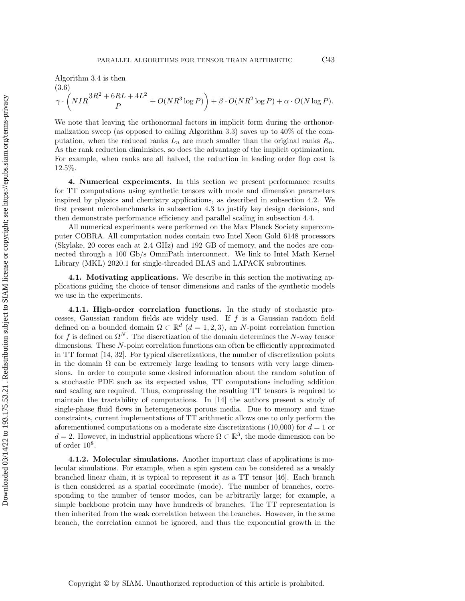$$
(3.6) \gamma \cdot \left( NIR \frac{3R^2 + 6RL + 4L^2}{P} + O(NR^3 \log P) \right) + \beta \cdot O(NR^2 \log P) + \alpha \cdot O(N \log P).
$$

We note that leaving the orthonormal factors in implicit form during the orthonormalization sweep (as opposed to calling [Algorithm 3.3\)](#page-16-0) saves up to 40% of the computation, when the reduced ranks  $L_n$  are much smaller than the original ranks  $R_n$ . As the rank reduction diminishes, so does the advantage of the implicit optimization. For example, when ranks are all halved, the reduction in leading order flop cost is 12.5%.

<span id="page-18-0"></span>4. Numerical experiments. In this section we present performance results for TT computations using synthetic tensors with mode and dimension parameters inspired by physics and chemistry applications, as described in [subsection 4.2.](#page-19-0) We first present microbenchmarks in [subsection 4.3](#page-19-1) to justify key design decisions, and then demonstrate performance efficiency and parallel scaling in [subsection 4.4.](#page-22-0)

All numerical experiments were performed on the Max Planck Society supercomputer COBRA. All computation nodes contain two Intel Xeon Gold 6148 processors (Skylake, 20 cores each at 2.4 GHz) and 192 GB of memory, and the nodes are connected through a 100 Gb/s OmniPath interconnect. We link to Intel Math Kernel Library (MKL) 2020.1 for single-threaded BLAS and LAPACK subroutines.

4.1. Motivating applications. We describe in this section the motivating applications guiding the choice of tensor dimensions and ranks of the synthetic models we use in the experiments.

<span id="page-18-1"></span>4.1.1. High-order correlation functions. In the study of stochastic processes, Gaussian random fields are widely used. If  $f$  is a Gaussian random field defined on a bounded domain  $\Omega \subset \mathbb{R}^d$  ( $d = 1, 2, 3$ ), an N-point correlation function for f is defined on  $\Omega^N$ . The discretization of the domain determines the N-way tensor dimensions. These N-point correlation functions can often be efficiently approximated in TT format [\[14,](#page-26-18) [32\]](#page-27-1). For typical discretizations, the number of discretization points in the domain  $\Omega$  can be extremely large leading to tensors with very large dimensions. In order to compute some desired information about the random solution of a stochastic PDE such as its expected value, TT computations including addition and scaling are required. Thus, compressing the resulting TT tensors is required to maintain the tractability of computations. In [\[14\]](#page-26-18) the authors present a study of single-phase fluid flows in heterogeneous porous media. Due to memory and time constraints, current implementations of TT arithmetic allows one to only perform the aforementioned computations on a moderate size discretizations  $(10,000)$  for  $d=1$  or  $d = 2$ . However, in industrial applications where  $\Omega \subset \mathbb{R}^3$ , the mode dimension can be of order  $10^8$ .

<span id="page-18-2"></span>4.1.2. Molecular simulations. Another important class of applications is molecular simulations. For example, when a spin system can be considered as a weakly branched linear chain, it is typical to represent it as a TT tensor [\[46\]](#page-28-1). Each branch is then considered as a spatial coordinate (mode). The number of branches, corresponding to the number of tensor modes, can be arbitrarily large; for example, a simple backbone protein may have hundreds of branches. The TT representation is then inherited from the weak correlation between the branches. However, in the same branch, the correlation cannot be ignored, and thus the exponential growth in the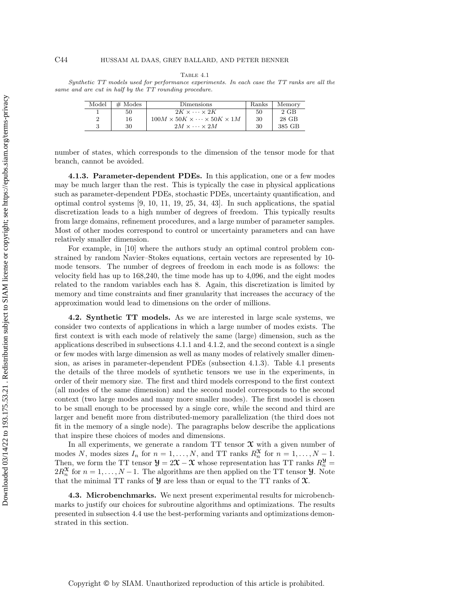#### Table 4.1

<span id="page-19-3"></span>Synthetic TT models used for performance experiments. In each case the TT ranks are all the same and are cut in half by the TT rounding procedure.

| Model          | $#$ Modes | Dimensions                                           | Ranks | Memory |
|----------------|-----------|------------------------------------------------------|-------|--------|
|                | 50        | $2K \times \cdots \times 2K$                         | 50    | 2 GB   |
| $\overline{2}$ | 16        | $100M \times 50K \times \cdots \times 50K \times 1M$ | 30    | 28 GB  |
|                | 30        | $2M \times \cdots \times 2M$                         | 30    | 385 GB |

number of states, which corresponds to the dimension of the tensor mode for that branch, cannot be avoided.

<span id="page-19-2"></span>4.1.3. Parameter-dependent PDEs. In this application, one or a few modes may be much larger than the rest. This is typically the case in physical applications such as parameter-dependent PDEs, stochastic PDEs, uncertainty quantification, and optimal control systems [\[9,](#page-26-0) [10,](#page-26-1) [11,](#page-26-8) [19,](#page-26-2) [25,](#page-27-20) [34,](#page-27-2) [43\]](#page-28-14). In such applications, the spatial discretization leads to a high number of degrees of freedom. This typically results from large domains, refinement procedures, and a large number of parameter samples. Most of other modes correspond to control or uncertainty parameters and can have relatively smaller dimension.

For example, in [\[10\]](#page-26-1) where the authors study an optimal control problem constrained by random Navier–Stokes equations, certain vectors are represented by 10 mode tensors. The number of degrees of freedom in each mode is as follows: the velocity field has up to 168,240, the time mode has up to 4,096, and the eight modes related to the random variables each has 8. Again, this discretization is limited by memory and time constraints and finer granularity that increases the accuracy of the approximation would lead to dimensions on the order of millions.

<span id="page-19-0"></span>4.2. Synthetic TT models. As we are interested in large scale systems, we consider two contexts of applications in which a large number of modes exists. The first context is with each mode of relatively the same (large) dimension, such as the applications described in [subsections 4.1.1](#page-18-1) and [4.1.2,](#page-18-2) and the second context is a single or few modes with large dimension as well as many modes of relatively smaller dimension, as arises in parameter-dependent PDEs [\(subsection 4.1.3\)](#page-19-2). [Table 4.1](#page-19-3) presents the details of the three models of synthetic tensors we use in the experiments, in order of their memory size. The first and third models correspond to the first context (all modes of the same dimension) and the second model corresponds to the second context (two large modes and many more smaller modes). The first model is chosen to be small enough to be processed by a single core, while the second and third are larger and benefit more from distributed-memory parallelization (the third does not fit in the memory of a single node). The paragraphs below describe the applications that inspire these choices of modes and dimensions.

In all experiments, we generate a random  $TT$  tensor  $\mathfrak X$  with a given number of modes N, modes sizes  $I_n$  for  $n = 1, ..., N$ , and TT ranks  $R_n^{\mathfrak{X}}$  for  $n = 1, ..., N - 1$ . Then, we form the TT tensor  $\mathcal{Y} = 2\mathcal{X} - \mathcal{X}$  whose representation has TT ranks  $R_n^{\mathcal{Y}} =$  $2R_n^{\mathfrak{X}}$  for  $n = 1, ..., N - 1$ . The algorithms are then applied on the TT tensor **y**. Note that the minimal TT ranks of  $\mathcal Y$  are less than or equal to the TT ranks of  $\mathcal X$ .

<span id="page-19-1"></span>4.3. Microbenchmarks. We next present experimental results for microbenchmarks to justify our choices for subroutine algorithms and optimizations. The results presented in [subsection 4.4](#page-22-0) use the best-performing variants and optimizations demonstrated in this section.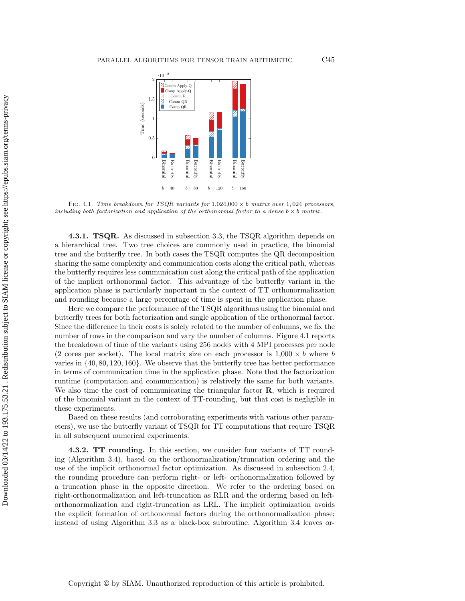<span id="page-20-1"></span>

FIG. 4.1. Time breakdown for TSQR variants for  $1,024,000 \times b$  matrix over 1,024 processors, including both factorization and application of the orthonormal factor to a dense  $b \times b$  matrix.

<span id="page-20-0"></span>**4.3.1. TSQR.** As discussed in [subsection 3.3,](#page-12-0) the TSQR algorithm depends on a hierarchical tree. Two tree choices are commonly used in practice, the binomial tree and the butterfly tree. In both cases the TSQR computes the QR decomposition sharing the same complexity and communication costs along the critical path, whereas the butterfly requires less communication cost along the critical path of the application of the implicit orthonormal factor. This advantage of the butterfly variant in the application phase is particularly important in the context of TT orthonormalization and rounding because a large percentage of time is spent in the application phase.

Here we compare the performance of the TSQR algorithms using the binomial and butterfly trees for both factorization and single application of the orthonormal factor. Since the difference in their costs is solely related to the number of columns, we fix the number of rows in the comparison and vary the number of columns. [Figure 4.1](#page-20-1) reports the breakdown of time of the variants using 256 nodes with 4 MPI processes per node (2 cores per socket). The local matrix size on each processor is  $1,000 \times b$  where b varies in {40, 80, 120, 160}. We observe that the butterfly tree has better performance in terms of communication time in the application phase. Note that the factorization runtime (computation and communication) is relatively the same for both variants. We also time the cost of communicating the triangular factor  $\bf{R}$ , which is required of the binomial variant in the context of TT-rounding, but that cost is negligible in these experiments.

Based on these results (and corroborating experiments with various other parameters), we use the butterfly variant of TSQR for TT computations that require TSQR in all subsequent numerical experiments.

<span id="page-20-2"></span>4.3.2. TT rounding. In this section, we consider four variants of TT rounding [\(Algorithm 3.4\)](#page-17-0), based on the orthonormalization/truncation ordering and the use of the implicit orthonormal factor optimization. As discussed in [subsection 2.4,](#page-5-3) the rounding procedure can perform right- or left- orthonormalization followed by a truncation phase in the opposite direction. We refer to the ordering based on right-orthonormalization and left-truncation as RLR and the ordering based on leftorthonormalization and right-truncation as LRL. The implicit optimization avoids the explicit formation of orthonormal factors during the orthonormalization phase; instead of using [Algorithm 3.3](#page-16-0) as a black-box subroutine, [Algorithm 3.4](#page-17-0) leaves or-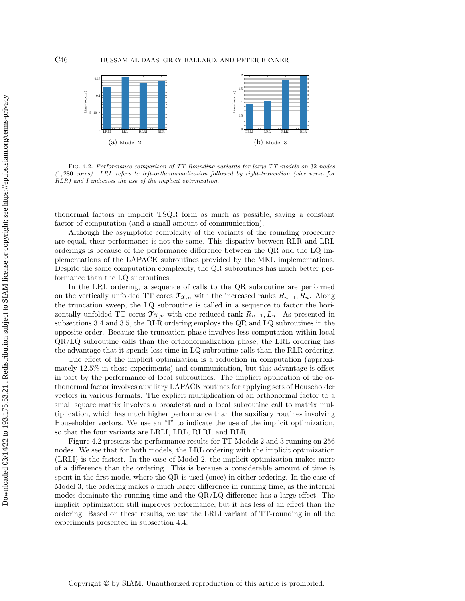

Fig. 4.2. Performance comparison of TT-Rounding variants for large TT models on 32 nodes (1, 280 cores). LRL refers to left-orthonormalization followed by right-truncation (vice versa for RLR) and I indicates the use of the implicit optimization.

thonormal factors in implicit TSQR form as much as possible, saving a constant factor of computation (and a small amount of communication).

Although the asymptotic complexity of the variants of the rounding procedure are equal, their performance is not the same. This disparity between RLR and LRL orderings is because of the performance difference between the QR and the LQ implementations of the LAPACK subroutines provided by the MKL implementations. Despite the same computation complexity, the QR subroutines has much better performance than the LQ subroutines.

In the LRL ordering, a sequence of calls to the QR subroutine are performed on the vertically unfolded TT cores  $\mathfrak{T}_{\mathfrak{X},n}$  with the increased ranks  $R_{n-1}, R_n$ . Along the truncation sweep, the LQ subroutine is called in a sequence to factor the horizontally unfolded TT cores  $\mathfrak{T}_{\mathfrak{X},n}$  with one reduced rank  $R_{n-1}, L_n$ . As presented in [subsections 3.4](#page-14-0) and [3.5,](#page-15-0) the RLR ordering employs the QR and LQ subroutines in the opposite order. Because the truncation phase involves less computation within local QR/LQ subroutine calls than the orthonormalization phase, the LRL ordering has the advantage that it spends less time in LQ subroutine calls than the RLR ordering.

The effect of the implicit optimization is a reduction in computation (approximately 12.5% in these experiments) and communication, but this advantage is offset in part by the performance of local subroutines. The implicit application of the orthonormal factor involves auxiliary LAPACK routines for applying sets of Householder vectors in various formats. The explicit multiplication of an orthonormal factor to a small square matrix involves a broadcast and a local subroutine call to matrix multiplication, which has much higher performance than the auxiliary routines involving Householder vectors. We use an "I" to indicate the use of the implicit optimization, so that the four variants are LRLI, LRL, RLRI, and RLR.

[Figure 4.2](#page-21-0) presents the performance results for TT Models 2 and 3 running on 256 nodes. We see that for both models, the LRL ordering with the implicit optimization (LRLI) is the fastest. In the case of Model 2, the implicit optimization makes more of a difference than the ordering. This is because a considerable amount of time is spent in the first mode, where the QR is used (once) in either ordering. In the case of Model 3, the ordering makes a much larger difference in running time, as the internal modes dominate the running time and the QR/LQ difference has a large effect. The implicit optimization still improves performance, but it has less of an effect than the ordering. Based on these results, we use the LRLI variant of TT-rounding in all the experiments presented in [subsection 4.4.](#page-22-0)

<span id="page-21-0"></span>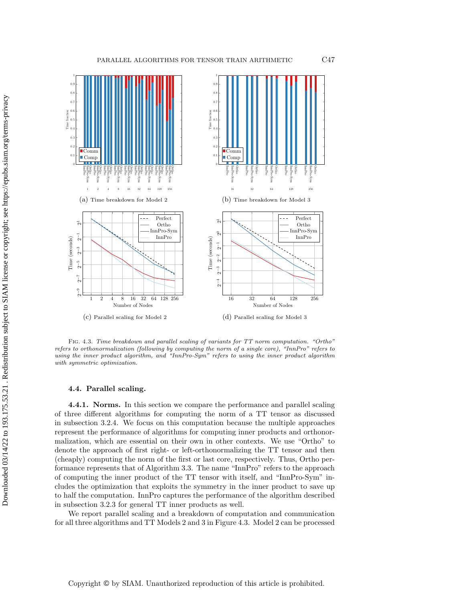<span id="page-22-1"></span>

Fig. 4.3. Time breakdown and parallel scaling of variants for TT norm computation. "Ortho" refers to orthonormalization (following by computing the norm of a single core), "InnPro" refers to using the inner product algorithm, and "InnPro-Sym" refers to using the inner product algorithm with symmetric optimization.

### <span id="page-22-0"></span>4.4. Parallel scaling.

<span id="page-22-2"></span>4.4.1. Norms. In this section we compare the performance and parallel scaling of three different algorithms for computing the norm of a TT tensor as discussed in [subsection 3.2.4.](#page-11-0) We focus on this computation because the multiple approaches represent the performance of algorithms for computing inner products and orthonormalization, which are essential on their own in other contexts. We use "Ortho" to denote the approach of first right- or left-orthonormalizing the TT tensor and then (cheaply) computing the norm of the first or last core, respectively. Thus, Ortho performance represents that of [Algorithm 3.3.](#page-16-0) The name "InnPro" refers to the approach of computing the inner product of the TT tensor with itself, and "InnPro-Sym" includes the optimization that exploits the symmetry in the inner product to save up to half the computation. InnPro captures the performance of the algorithm described in [subsection 3.2.3](#page-10-1) for general TT inner products as well.

We report parallel scaling and a breakdown of computation and communication for all three algorithms and TT Models 2 and 3 in [Figure 4.3.](#page-22-1) Model 2 can be processed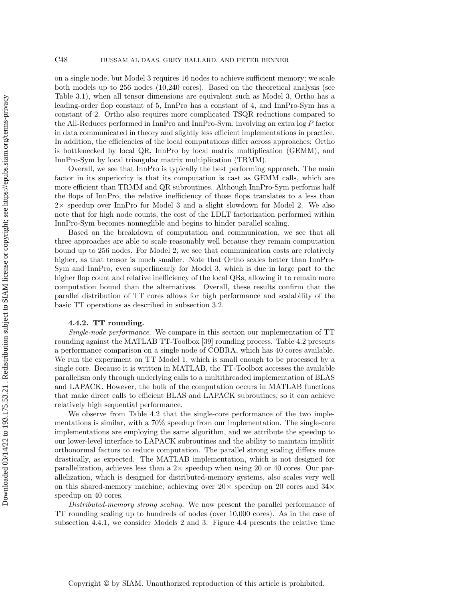on a single node, but Model 3 requires 16 nodes to achieve sufficient memory; we scale both models up to 256 nodes (10,240 cores). Based on the theoretical analysis (see [Table 3.1\)](#page-7-2), when all tensor dimensions are equivalent such as Model 3, Ortho has a leading-order flop constant of 5, InnPro has a constant of 4, and InnPro-Sym has a constant of 2. Ortho also requires more complicated TSQR reductions compared to the All-Reduces performed in InnPro and InnPro-Sym, involving an extra log P factor in data communicated in theory and slightly less efficient implementations in practice. In addition, the efficiencies of the local computations differ across approaches: Ortho is bottlenecked by local QR, InnPro by local matrix multiplication (GEMM), and InnPro-Sym by local triangular matrix multiplication (TRMM).

Overall, we see that InnPro is typically the best performing approach. The main factor in its superiority is that its computation is cast as GEMM calls, which are more efficient than TRMM and QR subroutines. Although InnPro-Sym performs half the flops of InnPro, the relative inefficiency of those flops translates to a less than 2× speedup over InnPro for Model 3 and a slight slowdown for Model 2. We also note that for high node counts, the cost of the LDLT factorization performed within InnPro-Sym becomes nonneglible and begins to hinder parallel scaling.

Based on the breakdown of computation and communication, we see that all three approaches are able to scale reasonably well because they remain computation bound up to 256 nodes. For Model 2, we see that communication costs are relatively higher, as that tensor is much smaller. Note that Ortho scales better than InnPro-Sym and InnPro, even superlinearly for Model 3, which is due in large part to the higher flop count and relative inefficiency of the local QRs, allowing it to remain more computation bound than the alternatives. Overall, these results confirm that the parallel distribution of TT cores allows for high performance and scalability of the basic TT operations as described in [subsection 3.2.](#page-9-0)

### 4.4.2. TT rounding.

Single-node performance. We compare in this section our implementation of TT rounding against the MATLAB TT-Toolbox [\[39\]](#page-27-7) rounding process. [Table 4.2](#page-24-0) presents a performance comparison on a single node of COBRA, which has 40 cores available. We run the experiment on TT Model 1, which is small enough to be processed by a single core. Because it is written in MATLAB, the TT-Toolbox accesses the available parallelism only through underlying calls to a multithreaded implementation of BLAS and LAPACK. However, the bulk of the computation occurs in MATLAB functions that make direct calls to efficient BLAS and LAPACK subroutines, so it can achieve relatively high sequential performance.

We observe from [Table 4.2](#page-24-0) that the single-core performance of the two implementations is similar, with a 70% speedup from our implementation. The single-core implementations are employing the same algorithm, and we attribute the speedup to our lower-level interface to LAPACK subroutines and the ability to maintain implicit orthonormal factors to reduce computation. The parallel strong scaling differs more drastically, as expected. The MATLAB implementation, which is not designed for parallelization, achieves less than a  $2\times$  speedup when using 20 or 40 cores. Our parallelization, which is designed for distributed-memory systems, also scales very well on this shared-memory machine, achieving over  $20\times$  speedup on 20 cores and  $34\times$ speedup on 40 cores.

Distributed-memory strong scaling. We now present the parallel performance of TT rounding scaling up to hundreds of nodes (over 10,000 cores). As in the case of [subsection 4.4.1,](#page-22-2) we consider Models 2 and 3. [Figure 4.4](#page-24-1) presents the relative time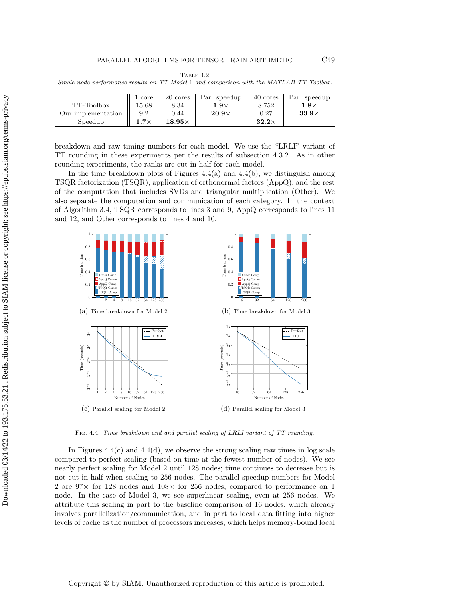TABLE  $4.2$ 

<span id="page-24-0"></span>Single-node performance results on TT Model 1 and comparison with the MATLAB TT-Toolbox.

|                    | 1 core      | 20 cores      | Par. speedup | 40 cores     | Par. speedup |
|--------------------|-------------|---------------|--------------|--------------|--------------|
| TT-Toolbox         | 15.68       | 8.34          | $1.9\times$  | 8.752        | $1.8\times$  |
| Our implementation | 9.2         | 0.44          | $20.9\times$ | 0.27         | $33.9\times$ |
| Speedup            | $1.7\times$ | $18.95\times$ |              | $32.2\times$ |              |

breakdown and raw timing numbers for each model. We use the "LRLI" variant of TT rounding in these experiments per the results of [subsection 4.3.2.](#page-20-2) As in other rounding experiments, the ranks are cut in half for each model.

In the time breakdown plots of Figures  $4.4(a)$  and  $4.4(b)$ , we distinguish among TSQR factorization (TSQR), application of orthonormal factors (AppQ), and the rest of the computation that includes SVDs and triangular multiplication (Other). We also separate the computation and communication of each category. In the context of [Algorithm 3.4,](#page-17-0) TSQR corresponds to lines [3](#page-17-1) and [9,](#page-17-4) AppQ corresponds to lines [11](#page-17-7) and [12,](#page-17-5) and Other corresponds to lines [4](#page-17-2) and [10.](#page-17-6)

<span id="page-24-1"></span>

Fig. 4.4. Time breakdown and and parallel scaling of LRLI variant of TT rounding.

In Figures  $4.4(c)$  and  $4.4(d)$ , we observe the strong scaling raw times in log scale compared to perfect scaling (based on time at the fewest number of nodes). We see nearly perfect scaling for Model 2 until 128 nodes; time continues to decrease but is not cut in half when scaling to 256 nodes. The parallel speedup numbers for Model 2 are 97× for 128 nodes and 108× for 256 nodes, compared to performance on 1 node. In the case of Model 3, we see superlinear scaling, even at 256 nodes. We attribute this scaling in part to the baseline comparison of 16 nodes, which already involves parallelization/communication, and in part to local data fitting into higher levels of cache as the number of processors increases, which helps memory-bound local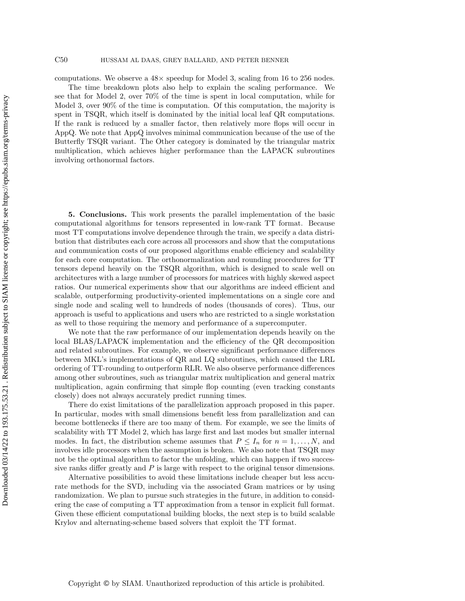### C50 HUSSAM AL DAAS, GREY BALLARD, AND PETER BENNER

computations. We observe a  $48\times$  speedup for Model 3, scaling from 16 to 256 nodes.

The time breakdown plots also help to explain the scaling performance. We see that for Model 2, over 70% of the time is spent in local computation, while for Model 3, over 90% of the time is computation. Of this computation, the majority is spent in TSQR, which itself is dominated by the initial local leaf QR computations. If the rank is reduced by a smaller factor, then relatively more flops will occur in AppQ. We note that AppQ involves minimal communication because of the use of the Butterfly TSQR variant. The Other category is dominated by the triangular matrix multiplication, which achieves higher performance than the LAPACK subroutines involving orthonormal factors.

<span id="page-25-0"></span>5. Conclusions. This work presents the parallel implementation of the basic computational algorithms for tensors represented in low-rank TT format. Because most TT computations involve dependence through the train, we specify a data distribution that distributes each core across all processors and show that the computations and communication costs of our proposed algorithms enable efficiency and scalability for each core computation. The orthonormalization and rounding procedures for TT tensors depend heavily on the TSQR algorithm, which is designed to scale well on architectures with a large number of processors for matrices with highly skewed aspect ratios. Our numerical experiments show that our algorithms are indeed efficient and scalable, outperforming productivity-oriented implementations on a single core and single node and scaling well to hundreds of nodes (thousands of cores). Thus, our approach is useful to applications and users who are restricted to a single workstation as well to those requiring the memory and performance of a supercomputer.

We note that the raw performance of our implementation depends heavily on the local BLAS/LAPACK implementation and the efficiency of the QR decomposition and related subroutines. For example, we observe significant performance differences between MKL's implementations of QR and LQ subroutines, which caused the LRL ordering of TT-rounding to outperform RLR. We also observe performance differences among other subroutines, such as triangular matrix multiplication and general matrix multiplication, again confirming that simple flop counting (even tracking constants closely) does not always accurately predict running times.

There do exist limitations of the parallelization approach proposed in this paper. In particular, modes with small dimensions benefit less from parallelization and can become bottlenecks if there are too many of them. For example, we see the limits of scalability with TT Model 2, which has large first and last modes but smaller internal modes. In fact, the distribution scheme assumes that  $P \leq I_n$  for  $n = 1, \ldots, N$ , and involves idle processors when the assumption is broken. We also note that TSQR may not be the optimal algorithm to factor the unfolding, which can happen if two successive ranks differ greatly and  $P$  is large with respect to the original tensor dimensions.

Alternative possibilities to avoid these limitations include cheaper but less accurate methods for the SVD, including via the associated Gram matrices or by using randomization. We plan to pursue such strategies in the future, in addition to considering the case of computing a TT approximation from a tensor in explicit full format. Given these efficient computational building blocks, the next step is to build scalable Krylov and alternating-scheme based solvers that exploit the TT format.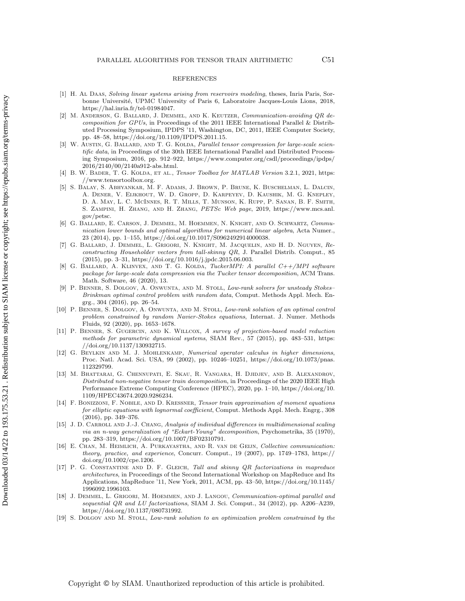### REFERENCES

- <span id="page-26-12"></span>[1] H. Al Daas, Solving linear systems arising from reservoirs modeling, theses, Inria Paris, Sorbonne Université, UPMC University of Paris 6, Laboratoire Jacques-Louis Lions, 2018, [https://hal.inria.fr/tel-01984047.](https://hal.inria.fr/tel-01984047)
- <span id="page-26-16"></span>[2] M. ANDERSON, G. BALLARD, J. DEMMEL, AND K. KEUTZER, Communication-avoiding QR decomposition for GPUs, in Proceedings of the 2011 IEEE International Parallel & Distributed Processing Symposium, IPDPS '11, Washington, DC, 2011, IEEE Computer Society, pp. 48–58, [https://doi.org/10.1109/IPDPS.2011.15.](https://doi.org/10.1109/IPDPS.2011.15)
- <span id="page-26-5"></span>[3] W. AUSTIN, G. BALLARD, AND T. G. KOLDA, Parallel tensor compression for large-scale scientific data, in Proceedings of the 30th IEEE International Parallel and Distributed Processing Symposium, 2016, pp. 912–922, [https://www.computer.org/csdl/proceedings/ipdps/](https://www.computer.org/csdl/proceedings/ipdps/2016/2140/00/2140a912-abs.html) [2016/2140/00/2140a912-abs.html.](https://www.computer.org/csdl/proceedings/ipdps/2016/2140/00/2140a912-abs.html)
- <span id="page-26-4"></span>[4] B. W. BADER, T. G. KOLDA, ET AL., Tensor Toolbox for MATLAB Version 3.2.1, 2021, [https:](https://www.tensortoolbox.org) [//www.tensortoolbox.org.](https://www.tensortoolbox.org)
- <span id="page-26-14"></span>[5] S. Balay, S. Abhyankar, M. F. Adams, J. Brown, P. Brune, K. Buschelman, L. Dalcin, A. Dener, V. Eijkhout, W. D. Gropp, D. Karpeyev, D. Kaushik, M. G. Knepley, D. A. May, L. C. McInnes, R. T. Mills, T. Munson, K. Rupp, P. Sanan, B. F. Smith, S. Zampini, H. Zhang, and H. Zhang, PETSc Web page, 2019, [https://www.mcs.anl.](https://www.mcs.anl.gov/petsc) [gov/petsc.](https://www.mcs.anl.gov/petsc)
- <span id="page-26-10"></span>[6] G. Ballard, E. Carson, J. Demmel, M. Hoemmen, N. Knight, and O. Schwartz, Communication lower bounds and optimal algorithms for numerical linear algebra, Acta Numer., 23 (2014), pp. 1–155, [https://doi.org/10.1017/S0962492914000038.](https://doi.org/10.1017/S0962492914000038)
- <span id="page-26-15"></span>[7] G. Ballard, J. Demmel, L. Grigori, N. Knight, M. Jacquelin, and H. D. Nguyen, Reconstructing Householder vectors from tall-skinny QR, J. Parallel Distrib. Comput., 85 (2015), pp. 3–31, [https://doi.org/10.1016/j.jpdc.2015.06.003.](https://doi.org/10.1016/j.jpdc.2015.06.003)
- <span id="page-26-6"></span>[8] G. BALLARD, A. KLINVEX, AND T. G. KOLDA, *TuckerMPI: A parallel C++/MPI software* package for large-scale data compression via the Tucker tensor decomposition, ACM Trans. Math. Software, 46 (2020), 13.
- <span id="page-26-0"></span>[9] P. Benner, S. Dolgov, A. Onwunta, and M. Stoll, Low-rank solvers for unsteady Stokes– Brinkman optimal control problem with random data, Comput. Methods Appl. Mech. Engrg., 304 (2016), pp. 26–54.
- <span id="page-26-1"></span>[10] P. Benner, S. Dolgov, A. Onwunta, and M. Stoll, Low-rank solution of an optimal control problem constrained by random Navier-Stokes equations, Internat. J. Numer. Methods Fluids, 92 (2020), pp. 1653–1678.
- <span id="page-26-8"></span>[11] P. BENNER, S. GUGERCIN, AND K. WILLCOX, A survey of projection-based model reduction methods for parametric dynamical systems, SIAM Rev., 57 (2015), pp. 483–531, [https:](https://doi.org/10.1137/130932715) [//doi.org/10.1137/130932715.](https://doi.org/10.1137/130932715)
- <span id="page-26-13"></span>[12] G. Beylkin and M. J. Mohlenkamp, Numerical operator calculus in higher dimensions, Proc. Natl. Acad. Sci. USA, 99 (2002), pp. 10246–10251, [https://doi.org/10.1073/pnas.](https://doi.org/10.1073/pnas.112329799) [112329799.](https://doi.org/10.1073/pnas.112329799)
- <span id="page-26-7"></span>[13] M. Bhattarai, G. Chennupati, E. Skau, R. Vangara, H. Djidjev, and B. Alexandrov, Distributed non-negative tensor train decomposition, in Proceedings of the 2020 IEEE High Performance Extreme Computing Conference (HPEC), 2020, pp. 1–10, [https://doi.org/10.](https://doi.org/10.1109/HPEC43674.2020.9286234) [1109/HPEC43674.2020.9286234.](https://doi.org/10.1109/HPEC43674.2020.9286234)
- <span id="page-26-18"></span>[14] F. Bonizzoni, F. Nobile, and D. Kressner, Tensor train approximation of moment equations for elliptic equations with lognormal coefficient, Comput. Methods Appl. Mech. Engrg., 308 (2016), pp. 349–376.
- <span id="page-26-3"></span>[15] J. D. CARROLL AND J.-J. CHANG, Analysis of individual differences in multidimensional scaling via an n-way generalization of "Eckart-Young" decomposition, Psychometrika, 35 (1970), pp. 283–319, [https://doi.org/10.1007/BF02310791.](https://doi.org/10.1007/BF02310791)
- <span id="page-26-11"></span>[16] E. Chan, M. Heimlich, A. Purkayastha, and R. van de Geijn, Collective communication: theory, practice, and experience, Concurr. Comput., 19 (2007), pp. 1749–1783, [https://](https://doi.org/10.1002/cpe.1206) [doi.org/10.1002/cpe.1206.](https://doi.org/10.1002/cpe.1206)
- <span id="page-26-17"></span>[17] P. G. Constantine and D. F. Gleich, Tall and skinny QR factorizations in mapreduce architectures, in Proceedings of the Second International Workshop on MapReduce and Its Applications, MapReduce '11, New York, 2011, ACM, pp. 43–50, [https://doi.org/10.1145/](https://doi.org/10.1145/1996092.1996103) [1996092.1996103.](https://doi.org/10.1145/1996092.1996103)
- <span id="page-26-9"></span>[18] J. DEMMEL, L. GRIGORI, M. HOEMMEN, AND J. LANGOU, Communication-optimal parallel and sequential QR and LU factorizations, SIAM J. Sci. Comput., 34 (2012), pp. A206–A239, [https://doi.org/10.1137/080731992.](https://doi.org/10.1137/080731992)
- <span id="page-26-2"></span>[19] S. DOLGOV AND M. STOLL, Low-rank solution to an optimization problem constrained by the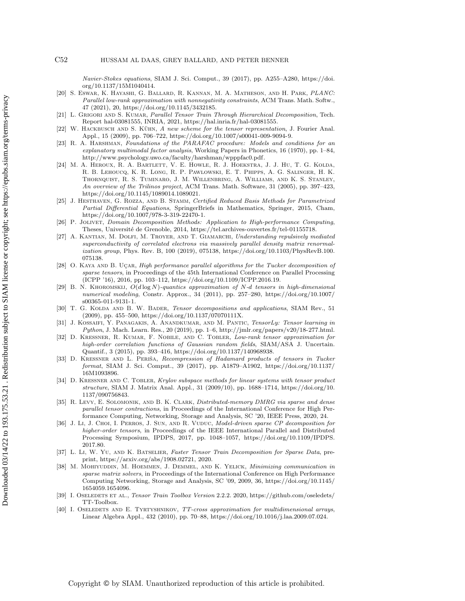Navier-Stokes equations, SIAM J. Sci. Comput., 39 (2017), pp. A255–A280, [https://doi.](https://doi.org/10.1137/15M1040414) [org/10.1137/15M1040414.](https://doi.org/10.1137/15M1040414)

- <span id="page-27-8"></span>[20] S. Eswar, K. Hayashi, G. Ballard, R. Kannan, M. A. Matheson, and H. Park, PLANC: Parallel low-rank approximation with nonnegativity constraints, ACM Trans. Math. Softw., 47 (2021), 20, [https://doi.org/10.1145/3432185.](https://doi.org/10.1145/3432185)
- <span id="page-27-11"></span>[21] L. GRIGORI AND S. KUMAR, Parallel Tensor Train Through Hierarchical Decomposition, Tech. Report hal-03081555, INRIA, 2021, [https://hal.inria.fr/hal-03081555.](https://hal.inria.fr/hal-03081555)
- <span id="page-27-0"></span>[22] W. HACKBUSCH AND S. KÜHN, A new scheme for the tensor representation, J. Fourier Anal. Appl., 15 (2009), pp. 706–722, [https://doi.org/10.1007/s00041-009-9094-9.](https://doi.org/10.1007/s00041-009-9094-9)
- <span id="page-27-4"></span>[23] R. A. Harshman, Foundations of the PARAFAC procedure: Models and conditions for an explanatory multimodal factor analysis, Working Papers in Phonetics, 16 (1970), pp. 1–84, [http://www.psychology.uwo.ca/faculty/harshman/wpppfac0.pdf.](http://www.psychology.uwo.ca/faculty/harshman/wpppfac0.pdf)
- <span id="page-27-18"></span>[24] M. A. Heroux, R. A. Bartlett, V. E. Howle, R. J. Hoekstra, J. J. Hu, T. G. Kolda, R. B. Lehoucq, K. R. Long, R. P. Pawlowski, E. T. Phipps, A. G. Salinger, H. K. Thornquist, R. S. Tuminaro, J. M. Willenbring, A. Williams, and K. S. Stanley, An overview of the Trilinos project, ACM Trans. Math. Software, 31 (2005), pp. 397–423, [https://doi.org/10.1145/1089014.1089021.](https://doi.org/10.1145/1089014.1089021)
- <span id="page-27-20"></span>[25] J. HESTHAVEN, G. ROZZA, AND B. STAMM, Certified Reduced Basis Methods for Parametrized Partial Differential Equations, SpringerBriefs in Mathematics, Springer, 2015, Cham, [https://doi.org/10.1007/978-3-319-22470-1.](https://doi.org/10.1007/978-3-319-22470-1)
- <span id="page-27-16"></span>[26] P. Jolivet, Domain Decomposition Methods: Application to High-performance Computing, Theses, Université de Grenoble, 2014, [https://tel.archives-ouvertes.fr/tel-01155718.](https://tel.archives-ouvertes.fr/tel-01155718)
- <span id="page-27-13"></span>[27] A. KANTIAN, M. DOLFI, M. TROYER, AND T. GIAMARCHI, Understanding repulsively mediated superconductivity of correlated electrons via massively parallel density matrix renormalization group, Phys. Rev. B, 100 (2019), 075138, [https://doi.org/10.1103/PhysRevB.100.](https://doi.org/10.1103/PhysRevB.100.075138) [075138.](https://doi.org/10.1103/PhysRevB.100.075138)
- <span id="page-27-10"></span>[28] O. KAYA AND B. UÇAR, High performance parallel algorithms for the Tucker decomposition of sparse tensors, in Proceedings of the 45th International Conference on Parallel Processing (ICPP '16), 2016, pp. 103–112, [https://doi.org/10.1109/ICPP.2016.19.](https://doi.org/10.1109/ICPP.2016.19)
- <span id="page-27-5"></span>[29] B. N. KHOROMSKIJ,  $O(d \log N)$ -quantics approximation of N-d tensors in high-dimensional numerical modeling, Constr. Approx., 34 (2011), pp. 257–280, [https://doi.org/10.1007/](https://doi.org/10.1007/s00365-011-9131-1) [s00365-011-9131-1.](https://doi.org/10.1007/s00365-011-9131-1)
- <span id="page-27-3"></span>[30] T. G. KOLDA AND B. W. BADER, Tensor decompositions and applications, SIAM Rev., 51 (2009), pp. 455–500, [https://doi.org/10.1137/07070111X.](https://doi.org/10.1137/07070111X)
- <span id="page-27-6"></span>[31] J. Kossaifi, Y. Panagakis, A. Anandkumar, and M. Pantic, TensorLy: Tensor learning in Python, J. Mach. Learn. Res., 20 (2019), pp. 1–6, [http://jmlr.org/papers/v20/18-277.html.](http://jmlr.org/papers/v20/18-277.html)
- <span id="page-27-1"></span>[32] D. KRESSNER, R. KUMAR, F. NOBILE, AND C. TOBLER, Low-rank tensor approximation for high-order correlation functions of Gaussian random fields, SIAM/ASA J. Uncertain. Quantif., 3 (2015), pp. 393–416, [https://doi.org/10.1137/140968938.](https://doi.org/10.1137/140968938)
- <span id="page-27-17"></span>[33] D. KRESSNER AND L. PERIŠA, Recompression of Hadamard products of tensors in Tucker format, SIAM J. Sci. Comput., 39 (2017), pp. A1879–A1902, [https://doi.org/10.1137/](https://doi.org/10.1137/16M1093896) [16M1093896.](https://doi.org/10.1137/16M1093896)
- <span id="page-27-2"></span>[34] D. KRESSNER AND C. TOBLER, Krylov subspace methods for linear systems with tensor product structure, SIAM J. Matrix Anal. Appl., 31 (2009/10), pp. 1688–1714, [https://doi.org/10.](https://doi.org/10.1137/090756843) [1137/090756843.](https://doi.org/10.1137/090756843)
- <span id="page-27-14"></span>[35] R. Levy, E. Solomonik, and B. K. Clark, Distributed-memory DMRG via sparse and dense parallel tensor contractions, in Proceedings of the International Conference for High Performance Computing, Networking, Storage and Analysis, SC '20, IEEE Press, 2020, 24.
- <span id="page-27-9"></span>[36] J. Li, J. Choi, I. Perros, J. Sun, and R. Vuduc, Model-driven sparse CP decomposition for higher-order tensors, in Proceedings of the IEEE International Parallel and Distributed Processing Symposium, IPDPS, 2017, pp. 1048–1057, [https://doi.org/10.1109/IPDPS.](https://doi.org/10.1109/IPDPS.2017.80) [2017.80.](https://doi.org/10.1109/IPDPS.2017.80)
- <span id="page-27-12"></span>[37] L. Li, W. Yu, and K. Batselier, Faster Tensor Train Decomposition for Sparse Data, preprint, [https://arxiv.org/abs/1908.02721,](https://arxiv.org/abs/1908.02721) 2020.
- <span id="page-27-19"></span>[38] M. Mohiyuddin, M. Hoemmen, J. Demmel, and K. Yelick, Minimizing communication in sparse matrix solvers, in Proceedings of the International Conference on High Performance Computing Networking, Storage and Analysis, SC '09, 2009, 36, [https://doi.org/10.1145/](https://doi.org/10.1145/1654059.1654096) [1654059.1654096.](https://doi.org/10.1145/1654059.1654096)
- <span id="page-27-7"></span>[39] I. OSELEDETS ET AL., Tensor Train Toolbox Version 2.2.2. 2020, [https://github.com/oseledets/](https://github.com/oseledets/TT-Toolbox) [TT-Toolbox.](https://github.com/oseledets/TT-Toolbox)
- <span id="page-27-15"></span>[40] I. OSELEDETS AND E. TYRTYSHNIKOV, TT-cross approximation for multidimensional arrays, Linear Algebra Appl., 432 (2010), pp. 70–88, [https://doi.org/10.1016/j.laa.2009.07.024.](https://doi.org/10.1016/j.laa.2009.07.024)

Copyright © by SIAM. Unauthorized reproduction of this article is prohibited.